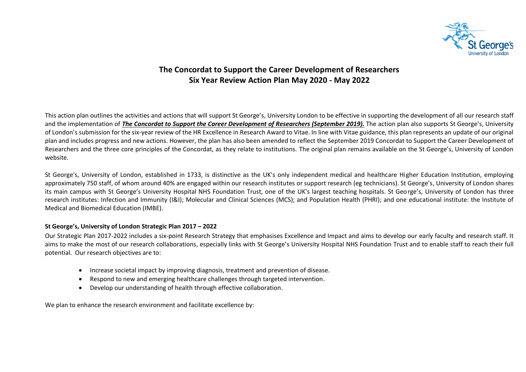

# **The Concordat to Support the Career Development of Researchers Six Year Review Action Plan May 2020 - May 2022**

This action plan outlines the activities and actions that will support St George's, University London to be effective in supporting the development of all our research staff and the implementation of *The Concordat to Support the Career Development of Researchers (September 2019).* The action plan also supports St George's, University of London's submission for the six-year review of the HR Excellence in Research Award to Vitae. In line with Vitae guidance, this plan represents an update of our original plan and includes progress and new actions. However, the plan has also been amended to reflect the September 2019 Concordat to Support the Career Development of Researchers and the three core principles of the Concordat, as they relate to institutions. The original plan remains available on the St George's, University of London website.

St George's, University of London, established in 1733, is distinctive as the UK's only independent medical and healthcare Higher Education Institution, employing approximately 750 staff, of whom around 40% are engaged within our research institutes or support research (eg technicians). St George's, University of London shares its main campus with St George's University Hospital NHS Foundation Trust, one of the UK's largest teaching hospitals. St George's, University of London has three research institutes: Infection and Immunity (I&I); Molecular and ClinicaI Sciences (MCS); and Population Health (PHRI); and one educational institute: the Institute of Medical and Biomedical Education (IMBE).

### **St George's, University of London Strategic Plan 2017 – 2022**

Our Strategic Plan 2017-2022 includes a six-point Research Strategy that emphasises Excellence and Impact and aims to develop our early faculty and research staff. It aims to make the most of our research collaborations, especially links with St George's University Hospital NHS Foundation Trust and to enable staff to reach their full potential. Our research objectives are to:

- Increase societal impact by improving diagnosis, treatment and prevention of disease.
- Respond to new and emerging healthcare challenges through targeted intervention.
- Develop our understanding of health through effective collaboration.

We plan to enhance the research environment and facilitate excellence by: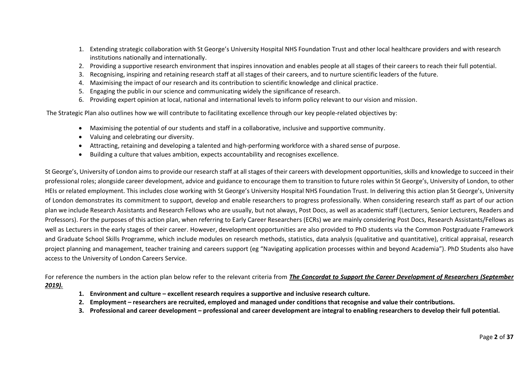- 1. Extending strategic collaboration with St George's University Hospital NHS Foundation Trust and other local healthcare providers and with research institutions nationally and internationally.
- 2. Providing a supportive research environment that inspires innovation and enables people at all stages of their careers to reach their full potential.
- 3. Recognising, inspiring and retaining research staff at all stages of their careers, and to nurture scientific leaders of the future.
- 4. Maximising the impact of our research and its contribution to scientific knowledge and clinical practice.
- 5. Engaging the public in our science and communicating widely the significance of research.
- 6. Providing expert opinion at local, national and international levels to inform policy relevant to our vision and mission.

The Strategic Plan also outlines how we will contribute to facilitating excellence through our key people-related objectives by:

- Maximising the potential of our students and staff in a collaborative, inclusive and supportive community.
- Valuing and celebrating our diversity.
- Attracting, retaining and developing a talented and high-performing workforce with a shared sense of purpose.
- Building a culture that values ambition, expects accountability and recognises excellence.

St George's, University of London aims to provide our research staff at all stages of their careers with development opportunities, skills and knowledge to succeed in their professional roles; alongside career development, advice and guidance to encourage them to transition to future roles within St George's, University of London, to other HEIs or related employment. This includes close working with St George's University Hospital NHS Foundation Trust. In delivering this action plan St George's, University of London demonstrates its commitment to support, develop and enable researchers to progress professionally. When considering research staff as part of our action plan we include Research Assistants and Research Fellows who are usually, but not always, Post Docs, as well as academic staff (Lecturers, Senior Lecturers, Readers and Professors). For the purposes of this action plan, when referring to Early Career Researchers (ECRs) we are mainly considering Post Docs, Research Assistants/Fellows as well as Lecturers in the early stages of their career. However, development opportunities are also provided to PhD students via the Common Postgraduate Framework and Graduate School Skills Programme, which include modules on research methods, statistics, data analysis (qualitative and quantitative), critical appraisal, research project planning and management, teacher training and careers support (eg "Navigating application processes within and beyond Academia"). PhD Students also have access to the University of London Careers Service.

For reference the numbers in the action plan below refer to the relevant criteria from *The Concordat to Support the Career Development of Researchers (September 2019).* 

- **1. Environment and culture – excellent research requires a supportive and inclusive research culture.**
- **2. Employment – researchers are recruited, employed and managed under conditions that recognise and value their contributions.**
- **3. Professional and career development – professional and career development are integral to enabling researchers to develop their full potential.**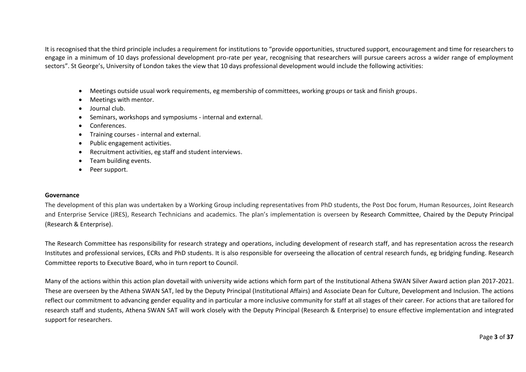It is recognised that the third principle includes a requirement for institutions to "provide opportunities, structured support, encouragement and time for researchers to engage in a minimum of 10 days professional development pro-rate per year, recognising that researchers will pursue careers across a wider range of employment sectors". St George's, University of London takes the view that 10 days professional development would include the following activities:

- Meetings outside usual work requirements, eg membership of committees, working groups or task and finish groups.
- Meetings with mentor.
- Journal club.
- Seminars, workshops and symposiums internal and external.
- Conferences.
- Training courses internal and external.
- Public engagement activities.
- Recruitment activities, eg staff and student interviews.
- Team building events.
- Peer support.

#### **Governance**

The development of this plan was undertaken by a Working Group including representatives from PhD students, the Post Doc forum, Human Resources, Joint Research and Enterprise Service (JRES), Research Technicians and academics. The plan's implementation is overseen by Research Committee, Chaired by the Deputy Principal (Research & Enterprise).

The Research Committee has responsibility for research strategy and operations, including development of research staff, and has representation across the research Institutes and professional services, ECRs and PhD students. It is also responsible for overseeing the allocation of central research funds, eg bridging funding. Research Committee reports to Executive Board, who in turn report to Council.

Many of the actions within this action plan dovetail with university wide actions which form part of the Institutional Athena SWAN Silver Award action plan 2017-2021. These are overseen by the Athena SWAN SAT, led by the Deputy Principal (Institutional Affairs) and Associate Dean for Culture, Development and Inclusion. The actions reflect our commitment to advancing gender equality and in particular a more inclusive community for staff at all stages of their career. For actions that are tailored for research staff and students, Athena SWAN SAT will work closely with the Deputy Principal (Research & Enterprise) to ensure effective implementation and integrated support for researchers.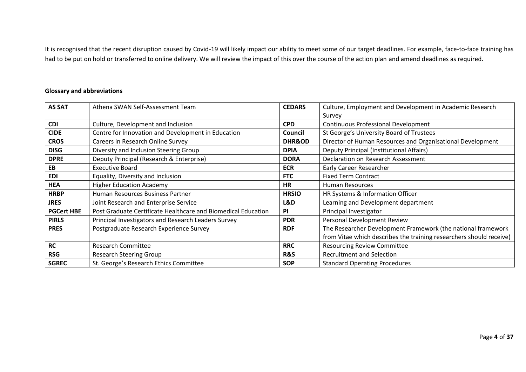It is recognised that the recent disruption caused by Covid-19 will likely impact our ability to meet some of our target deadlines. For example, face-to-face training has had to be put on hold or transferred to online delivery. We will review the impact of this over the course of the action plan and amend deadlines as required.

## **Glossary and abbreviations**

| <b>AS SAT</b>     | Athena SWAN Self-Assessment Team                              | <b>CEDARS</b>     | Culture, Employment and Development in Academic Research            |
|-------------------|---------------------------------------------------------------|-------------------|---------------------------------------------------------------------|
|                   |                                                               |                   | Survey                                                              |
| <b>CDI</b>        | Culture, Development and Inclusion                            | <b>CPD</b>        | <b>Continuous Professional Development</b>                          |
| <b>CIDE</b>       | Centre for Innovation and Development in Education            | Council           | St George's University Board of Trustees                            |
| <b>CROS</b>       | Careers in Research Online Survey                             | <b>DHR&amp;OD</b> | Director of Human Resources and Organisational Development          |
| <b>DISG</b>       | Diversity and Inclusion Steering Group                        | <b>DPIA</b>       | Deputy Principal (Institutional Affairs)                            |
| <b>DPRE</b>       | Deputy Principal (Research & Enterprise)                      | <b>DORA</b>       | Declaration on Research Assessment                                  |
| EB                | <b>Executive Board</b>                                        | <b>ECR</b>        | <b>Early Career Researcher</b>                                      |
| <b>EDI</b>        | Equality, Diversity and Inclusion                             | <b>FTC</b>        | <b>Fixed Term Contract</b>                                          |
| <b>HEA</b>        | <b>Higher Education Academy</b>                               | <b>HR</b>         | <b>Human Resources</b>                                              |
| <b>HRBP</b>       | Human Resources Business Partner                              | <b>HRSIO</b>      | HR Systems & Information Officer                                    |
| <b>JRES</b>       | Joint Research and Enterprise Service                         | L&D               | Learning and Development department                                 |
| <b>PGCert HBE</b> | Post Graduate Certificate Healthcare and Biomedical Education | PI                | Principal Investigator                                              |
| <b>PIRLS</b>      | Principal Investigators and Research Leaders Survey           | <b>PDR</b>        | Personal Development Review                                         |
| <b>PRES</b>       | Postgraduate Research Experience Survey                       | <b>RDF</b>        | The Researcher Development Framework (the national framework        |
|                   |                                                               |                   | from Vitae which describes the training researchers should receive) |
| <b>RC</b>         | <b>Research Committee</b>                                     | <b>RRC</b>        | <b>Resourcing Review Committee</b>                                  |
| <b>RSG</b>        | <b>Research Steering Group</b>                                | R&S               | <b>Recruitment and Selection</b>                                    |
| <b>SGREC</b>      | St. George's Research Ethics Committee                        | <b>SOP</b>        | <b>Standard Operating Procedures</b>                                |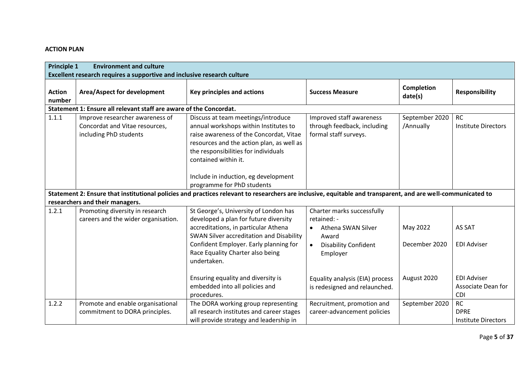# **ACTION PLAN**

|                         | <b>Principle 1</b><br><b>Environment and culture</b><br>Excellent research requires a supportive and inclusive research culture |                                                                                                                                                                                                                                                                             |                                                                                  |                             |                                                        |  |  |
|-------------------------|---------------------------------------------------------------------------------------------------------------------------------|-----------------------------------------------------------------------------------------------------------------------------------------------------------------------------------------------------------------------------------------------------------------------------|----------------------------------------------------------------------------------|-----------------------------|--------------------------------------------------------|--|--|
| <b>Action</b><br>number | Area/Aspect for development                                                                                                     | <b>Key principles and actions</b>                                                                                                                                                                                                                                           | <b>Success Measure</b>                                                           | Completion<br>date(s)       | <b>Responsibility</b>                                  |  |  |
|                         | Statement 1: Ensure all relevant staff are aware of the Concordat.                                                              |                                                                                                                                                                                                                                                                             |                                                                                  |                             |                                                        |  |  |
| 1.1.1                   | Improve researcher awareness of<br>Concordat and Vitae resources,<br>including PhD students                                     | Discuss at team meetings/introduce<br>annual workshops within Institutes to<br>raise awareness of the Concordat, Vitae<br>resources and the action plan, as well as<br>the responsibilities for individuals<br>contained within it.<br>Include in induction, eg development | Improved staff awareness<br>through feedback, including<br>formal staff surveys. | September 2020<br>/Annually | <b>RC</b><br><b>Institute Directors</b>                |  |  |
|                         |                                                                                                                                 | programme for PhD students                                                                                                                                                                                                                                                  |                                                                                  |                             |                                                        |  |  |
|                         |                                                                                                                                 | Statement 2: Ensure that institutional policies and practices relevant to researchers are inclusive, equitable and transparent, and are well-communicated to                                                                                                                |                                                                                  |                             |                                                        |  |  |
|                         | researchers and their managers.                                                                                                 |                                                                                                                                                                                                                                                                             |                                                                                  |                             |                                                        |  |  |
| 1.2.1                   | Promoting diversity in research<br>careers and the wider organisation.                                                          | St George's, University of London has<br>developed a plan for future diversity                                                                                                                                                                                              | Charter marks successfully<br>retained: -                                        |                             |                                                        |  |  |
|                         |                                                                                                                                 | accreditations, in particular Athena<br>SWAN Silver accreditation and Disability                                                                                                                                                                                            | Athena SWAN Silver<br>$\bullet$<br>Award                                         | May 2022                    | AS SAT                                                 |  |  |
|                         |                                                                                                                                 | Confident Employer. Early planning for<br>Race Equality Charter also being<br>undertaken.                                                                                                                                                                                   | <b>Disability Confident</b><br>$\bullet$<br>Employer                             | December 2020               | <b>EDI Adviser</b>                                     |  |  |
|                         |                                                                                                                                 | Ensuring equality and diversity is<br>embedded into all policies and<br>procedures.                                                                                                                                                                                         | Equality analysis (EIA) process<br>is redesigned and relaunched.                 | August 2020                 | <b>EDI Adviser</b><br>Associate Dean for<br><b>CDI</b> |  |  |
| 1.2.2                   | Promote and enable organisational<br>commitment to DORA principles.                                                             | The DORA working group representing<br>all research institutes and career stages<br>will provide strategy and leadership in                                                                                                                                                 | Recruitment, promotion and<br>career-advancement policies                        | September 2020              | <b>RC</b><br><b>DPRE</b><br><b>Institute Directors</b> |  |  |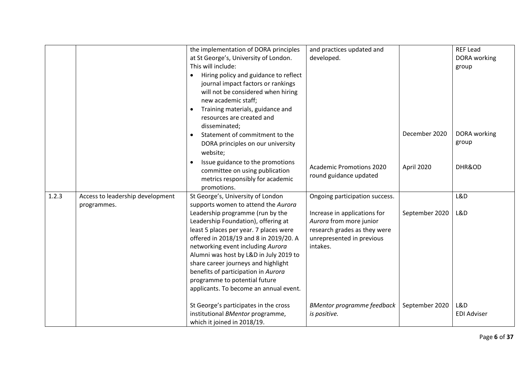|       |                                  | the implementation of DORA principles              | and practices updated and         |                | <b>REF Lead</b>    |
|-------|----------------------------------|----------------------------------------------------|-----------------------------------|----------------|--------------------|
|       |                                  | at St George's, University of London.              | developed.                        |                | DORA working       |
|       |                                  | This will include:                                 |                                   |                | group              |
|       |                                  | Hiring policy and guidance to reflect<br>$\bullet$ |                                   |                |                    |
|       |                                  | journal impact factors or rankings                 |                                   |                |                    |
|       |                                  | will not be considered when hiring                 |                                   |                |                    |
|       |                                  | new academic staff;                                |                                   |                |                    |
|       |                                  | Training materials, guidance and<br>$\bullet$      |                                   |                |                    |
|       |                                  | resources are created and                          |                                   |                |                    |
|       |                                  | disseminated;                                      |                                   |                |                    |
|       |                                  | Statement of commitment to the                     |                                   | December 2020  | DORA working       |
|       |                                  | DORA principles on our university                  |                                   |                | group              |
|       |                                  | website;                                           |                                   |                |                    |
|       |                                  | Issue guidance to the promotions                   |                                   |                |                    |
|       |                                  | committee on using publication                     | <b>Academic Promotions 2020</b>   | April 2020     | DHR&OD             |
|       |                                  | metrics responsibly for academic                   | round guidance updated            |                |                    |
|       |                                  | promotions.                                        |                                   |                |                    |
| 1.2.3 | Access to leadership development | St George's, University of London                  | Ongoing participation success.    |                | L&D                |
|       | programmes.                      | supports women to attend the Aurora                |                                   |                |                    |
|       |                                  | Leadership programme (run by the                   | Increase in applications for      | September 2020 | L&D                |
|       |                                  | Leadership Foundation), offering at                | Aurora from more junior           |                |                    |
|       |                                  | least 5 places per year. 7 places were             | research grades as they were      |                |                    |
|       |                                  | offered in 2018/19 and 8 in 2019/20. A             | unrepresented in previous         |                |                    |
|       |                                  | networking event including Aurora                  | intakes.                          |                |                    |
|       |                                  | Alumni was host by L&D in July 2019 to             |                                   |                |                    |
|       |                                  | share career journeys and highlight                |                                   |                |                    |
|       |                                  | benefits of participation in Aurora                |                                   |                |                    |
|       |                                  | programme to potential future                      |                                   |                |                    |
|       |                                  | applicants. To become an annual event.             |                                   |                |                    |
|       |                                  |                                                    |                                   |                |                    |
|       |                                  | St George's participates in the cross              | <b>BMentor programme feedback</b> | September 2020 | L&D                |
|       |                                  | institutional BMentor programme,                   | is positive.                      |                | <b>EDI Adviser</b> |
|       |                                  | which it joined in 2018/19.                        |                                   |                |                    |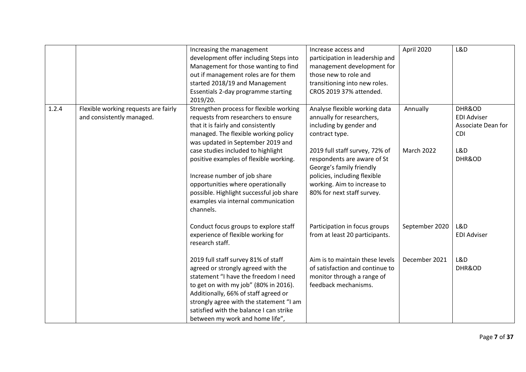|       |                                                                   | Increasing the management<br>development offer including Steps into<br>Management for those wanting to find<br>out if management roles are for them<br>started 2018/19 and Management<br>Essentials 2-day programme starting<br>2019/20.                                                                                    | Increase access and<br>participation in leadership and<br>management development for<br>those new to role and<br>transitioning into new roles.<br>CROS 2019 37% attended.              | April 2020     | L&D                                                              |
|-------|-------------------------------------------------------------------|-----------------------------------------------------------------------------------------------------------------------------------------------------------------------------------------------------------------------------------------------------------------------------------------------------------------------------|----------------------------------------------------------------------------------------------------------------------------------------------------------------------------------------|----------------|------------------------------------------------------------------|
| 1.2.4 | Flexible working requests are fairly<br>and consistently managed. | Strengthen process for flexible working<br>requests from researchers to ensure<br>that it is fairly and consistently<br>managed. The flexible working policy<br>was updated in September 2019 and                                                                                                                           | Analyse flexible working data<br>annually for researchers,<br>including by gender and<br>contract type.                                                                                | Annually       | DHR&OD<br><b>EDI Adviser</b><br>Associate Dean for<br><b>CDI</b> |
|       |                                                                   | case studies included to highlight<br>positive examples of flexible working.<br>Increase number of job share<br>opportunities where operationally<br>possible. Highlight successful job share<br>examples via internal communication<br>channels.                                                                           | 2019 full staff survey, 72% of<br>respondents are aware of St<br>George's family friendly<br>policies, including flexible<br>working. Aim to increase to<br>80% for next staff survey. | March 2022     | L&D<br>DHR&OD                                                    |
|       |                                                                   | Conduct focus groups to explore staff<br>experience of flexible working for<br>research staff.                                                                                                                                                                                                                              | Participation in focus groups<br>from at least 20 participants.                                                                                                                        | September 2020 | L&D<br><b>EDI Adviser</b>                                        |
|       |                                                                   | 2019 full staff survey 81% of staff<br>agreed or strongly agreed with the<br>statement "I have the freedom I need<br>to get on with my job" (80% in 2016).<br>Additionally, 66% of staff agreed or<br>strongly agree with the statement "I am<br>satisfied with the balance I can strike<br>between my work and home life", | Aim is to maintain these levels<br>of satisfaction and continue to<br>monitor through a range of<br>feedback mechanisms.                                                               | December 2021  | L&D<br>DHR&OD                                                    |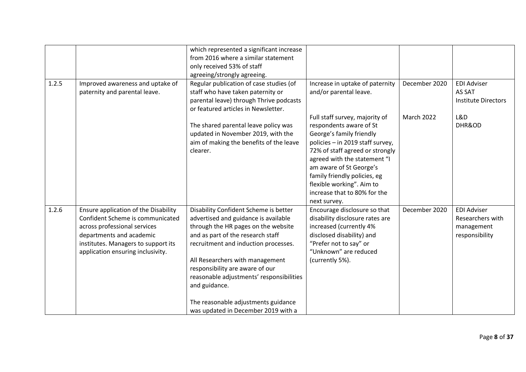| 1.2.5 | Improved awareness and uptake of<br>paternity and parental leave.                                                                                                                                                | which represented a significant increase<br>from 2016 where a similar statement<br>only received 53% of staff<br>agreeing/strongly agreeing.<br>Regular publication of case studies (of<br>staff who have taken paternity or<br>parental leave) through Thrive podcasts<br>or featured articles in Newsletter.                                                                                                     | Increase in uptake of paternity<br>and/or parental leave.                                                                                                                                                                                                                                                                            | December 2020 | <b>EDI Adviser</b><br>AS SAT<br><b>Institute Directors</b>             |
|-------|------------------------------------------------------------------------------------------------------------------------------------------------------------------------------------------------------------------|--------------------------------------------------------------------------------------------------------------------------------------------------------------------------------------------------------------------------------------------------------------------------------------------------------------------------------------------------------------------------------------------------------------------|--------------------------------------------------------------------------------------------------------------------------------------------------------------------------------------------------------------------------------------------------------------------------------------------------------------------------------------|---------------|------------------------------------------------------------------------|
|       |                                                                                                                                                                                                                  | The shared parental leave policy was<br>updated in November 2019, with the<br>aim of making the benefits of the leave<br>clearer.                                                                                                                                                                                                                                                                                  | Full staff survey, majority of<br>respondents aware of St<br>George's family friendly<br>policies - in 2019 staff survey,<br>72% of staff agreed or strongly<br>agreed with the statement "I<br>am aware of St George's<br>family friendly policies, eg<br>flexible working". Aim to<br>increase that to 80% for the<br>next survey. | March 2022    | L&D<br>DHR&OD                                                          |
| 1.2.6 | Ensure application of the Disability<br>Confident Scheme is communicated<br>across professional services<br>departments and academic<br>institutes. Managers to support its<br>application ensuring inclusivity. | Disability Confident Scheme is better<br>advertised and guidance is available<br>through the HR pages on the website<br>and as part of the research staff<br>recruitment and induction processes.<br>All Researchers with management<br>responsibility are aware of our<br>reasonable adjustments' responsibilities<br>and guidance.<br>The reasonable adjustments guidance<br>was updated in December 2019 with a | Encourage disclosure so that<br>disability disclosure rates are<br>increased (currently 4%<br>disclosed disability) and<br>"Prefer not to say" or<br>"Unknown" are reduced<br>(currently 5%).                                                                                                                                        | December 2020 | <b>EDI Adviser</b><br>Researchers with<br>management<br>responsibility |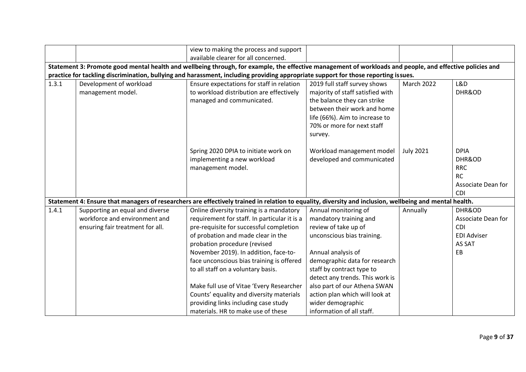|                                                                                                                                                                                                                                                                                                |                                              | view to making the process and support                                                                                                                  |                                                                                                                                                                                                           |                   |                                                                                      |  |  |  |
|------------------------------------------------------------------------------------------------------------------------------------------------------------------------------------------------------------------------------------------------------------------------------------------------|----------------------------------------------|---------------------------------------------------------------------------------------------------------------------------------------------------------|-----------------------------------------------------------------------------------------------------------------------------------------------------------------------------------------------------------|-------------------|--------------------------------------------------------------------------------------|--|--|--|
|                                                                                                                                                                                                                                                                                                |                                              | available clearer for all concerned.                                                                                                                    |                                                                                                                                                                                                           |                   |                                                                                      |  |  |  |
| Statement 3: Promote good mental health and wellbeing through, for example, the effective management of workloads and people, and effective policies and<br>practice for tackling discrimination, bullying and harassment, including providing appropriate support for those reporting issues. |                                              |                                                                                                                                                         |                                                                                                                                                                                                           |                   |                                                                                      |  |  |  |
| 1.3.1                                                                                                                                                                                                                                                                                          | Development of workload<br>management model. | Ensure expectations for staff in relation<br>to workload distribution are effectively<br>managed and communicated.                                      | 2019 full staff survey shows<br>majority of staff satisfied with<br>the balance they can strike<br>between their work and home<br>life (66%). Aim to increase to<br>70% or more for next staff<br>survey. | <b>March 2022</b> | L&D<br>DHR&OD                                                                        |  |  |  |
|                                                                                                                                                                                                                                                                                                |                                              | Spring 2020 DPIA to initiate work on<br>implementing a new workload<br>management model.                                                                | Workload management model<br>developed and communicated                                                                                                                                                   | <b>July 2021</b>  | <b>DPIA</b><br>DHR&OD<br><b>RRC</b><br><b>RC</b><br>Associate Dean for<br><b>CDI</b> |  |  |  |
|                                                                                                                                                                                                                                                                                                |                                              | Statement 4: Ensure that managers of researchers are effectively trained in relation to equality, diversity and inclusion, wellbeing and mental health. |                                                                                                                                                                                                           |                   |                                                                                      |  |  |  |
| 1.4.1                                                                                                                                                                                                                                                                                          | Supporting an equal and diverse              | Online diversity training is a mandatory                                                                                                                | Annual monitoring of                                                                                                                                                                                      | Annually          | DHR&OD                                                                               |  |  |  |
|                                                                                                                                                                                                                                                                                                | workforce and environment and                | requirement for staff. In particular it is a                                                                                                            | mandatory training and                                                                                                                                                                                    |                   | Associate Dean for                                                                   |  |  |  |
|                                                                                                                                                                                                                                                                                                | ensuring fair treatment for all.             | pre-requisite for successful completion                                                                                                                 | review of take up of                                                                                                                                                                                      |                   | <b>CDI</b>                                                                           |  |  |  |
|                                                                                                                                                                                                                                                                                                |                                              | of probation and made clear in the                                                                                                                      | unconscious bias training.                                                                                                                                                                                |                   | <b>EDI Adviser</b>                                                                   |  |  |  |
|                                                                                                                                                                                                                                                                                                |                                              | probation procedure (revised                                                                                                                            |                                                                                                                                                                                                           |                   | AS SAT                                                                               |  |  |  |
|                                                                                                                                                                                                                                                                                                |                                              | November 2019). In addition, face-to-                                                                                                                   | Annual analysis of                                                                                                                                                                                        |                   | EB                                                                                   |  |  |  |
|                                                                                                                                                                                                                                                                                                |                                              | face unconscious bias training is offered                                                                                                               | demographic data for research                                                                                                                                                                             |                   |                                                                                      |  |  |  |
|                                                                                                                                                                                                                                                                                                |                                              | to all staff on a voluntary basis.                                                                                                                      | staff by contract type to                                                                                                                                                                                 |                   |                                                                                      |  |  |  |
|                                                                                                                                                                                                                                                                                                |                                              |                                                                                                                                                         | detect any trends. This work is                                                                                                                                                                           |                   |                                                                                      |  |  |  |
|                                                                                                                                                                                                                                                                                                |                                              | Make full use of Vitae 'Every Researcher                                                                                                                | also part of our Athena SWAN                                                                                                                                                                              |                   |                                                                                      |  |  |  |
|                                                                                                                                                                                                                                                                                                |                                              | Counts' equality and diversity materials                                                                                                                | action plan which will look at                                                                                                                                                                            |                   |                                                                                      |  |  |  |
|                                                                                                                                                                                                                                                                                                |                                              | providing links including case study                                                                                                                    | wider demographic                                                                                                                                                                                         |                   |                                                                                      |  |  |  |
|                                                                                                                                                                                                                                                                                                |                                              | materials. HR to make use of these                                                                                                                      | information of all staff.                                                                                                                                                                                 |                   |                                                                                      |  |  |  |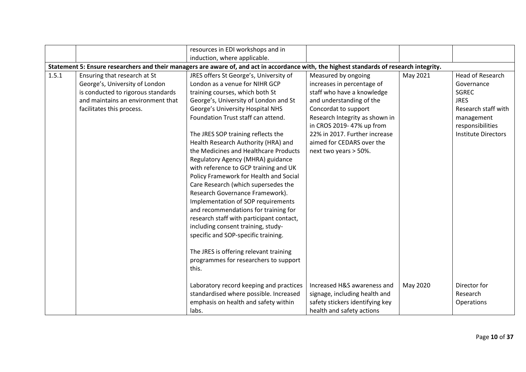|       |                                                                                                                                                                        | resources in EDI workshops and in<br>induction, where applicable.                                                                                                                                                                                                                                                                                                                                                                                                                                                                                                                                                                                                                                                                                                                                                                                                                                                                                    |                                                                                                                                                                                                                                                                                           |          |                                                                                                                                                             |
|-------|------------------------------------------------------------------------------------------------------------------------------------------------------------------------|------------------------------------------------------------------------------------------------------------------------------------------------------------------------------------------------------------------------------------------------------------------------------------------------------------------------------------------------------------------------------------------------------------------------------------------------------------------------------------------------------------------------------------------------------------------------------------------------------------------------------------------------------------------------------------------------------------------------------------------------------------------------------------------------------------------------------------------------------------------------------------------------------------------------------------------------------|-------------------------------------------------------------------------------------------------------------------------------------------------------------------------------------------------------------------------------------------------------------------------------------------|----------|-------------------------------------------------------------------------------------------------------------------------------------------------------------|
|       |                                                                                                                                                                        |                                                                                                                                                                                                                                                                                                                                                                                                                                                                                                                                                                                                                                                                                                                                                                                                                                                                                                                                                      |                                                                                                                                                                                                                                                                                           |          |                                                                                                                                                             |
| 1.5.1 | Ensuring that research at St<br>George's, University of London<br>is conducted to rigorous standards<br>and maintains an environment that<br>facilitates this process. | Statement 5: Ensure researchers and their managers are aware of, and act in accordance with, the highest standards of research integrity.<br>JRES offers St George's, University of<br>London as a venue for NIHR GCP<br>training courses, which both St<br>George's, University of London and St<br>George's University Hospital NHS<br>Foundation Trust staff can attend.<br>The JRES SOP training reflects the<br>Health Research Authority (HRA) and<br>the Medicines and Healthcare Products<br>Regulatory Agency (MHRA) guidance<br>with reference to GCP training and UK<br>Policy Framework for Health and Social<br>Care Research (which supersedes the<br>Research Governance Framework).<br>Implementation of SOP requirements<br>and recommendations for training for<br>research staff with participant contact,<br>including consent training, study-<br>specific and SOP-specific training.<br>The JRES is offering relevant training | Measured by ongoing<br>increases in percentage of<br>staff who have a knowledge<br>and understanding of the<br>Concordat to support<br>Research Integrity as shown in<br>in CROS 2019- 47% up from<br>22% in 2017. Further increase<br>aimed for CEDARS over the<br>next two years > 50%. | May 2021 | <b>Head of Research</b><br>Governance<br><b>SGREC</b><br><b>JRES</b><br>Research staff with<br>management<br>responsibilities<br><b>Institute Directors</b> |
|       |                                                                                                                                                                        | programmes for researchers to support<br>this.                                                                                                                                                                                                                                                                                                                                                                                                                                                                                                                                                                                                                                                                                                                                                                                                                                                                                                       |                                                                                                                                                                                                                                                                                           |          |                                                                                                                                                             |
|       |                                                                                                                                                                        | Laboratory record keeping and practices<br>standardised where possible. Increased<br>emphasis on health and safety within<br>labs.                                                                                                                                                                                                                                                                                                                                                                                                                                                                                                                                                                                                                                                                                                                                                                                                                   | Increased H&S awareness and<br>signage, including health and<br>safety stickers identifying key<br>health and safety actions                                                                                                                                                              | May 2020 | Director for<br>Research<br>Operations                                                                                                                      |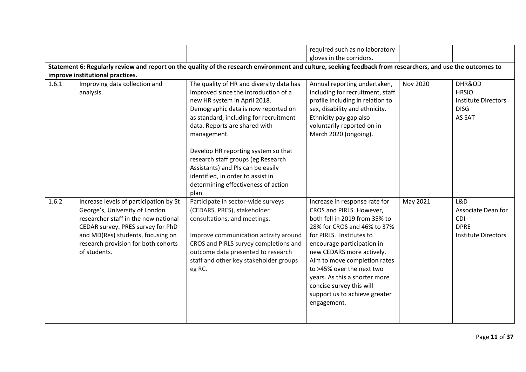|       |                                                                                                                                                                                                                                                   |                                                                                                                                                                                                                                                                                                                                                                                                                                                 | required such as no laboratory                                                                                                                                                                                                                                                                                                                                                             |          |                                                                                      |
|-------|---------------------------------------------------------------------------------------------------------------------------------------------------------------------------------------------------------------------------------------------------|-------------------------------------------------------------------------------------------------------------------------------------------------------------------------------------------------------------------------------------------------------------------------------------------------------------------------------------------------------------------------------------------------------------------------------------------------|--------------------------------------------------------------------------------------------------------------------------------------------------------------------------------------------------------------------------------------------------------------------------------------------------------------------------------------------------------------------------------------------|----------|--------------------------------------------------------------------------------------|
|       |                                                                                                                                                                                                                                                   |                                                                                                                                                                                                                                                                                                                                                                                                                                                 | gloves in the corridors.                                                                                                                                                                                                                                                                                                                                                                   |          |                                                                                      |
|       |                                                                                                                                                                                                                                                   | Statement 6: Regularly review and report on the quality of the research environment and culture, seeking feedback from researchers, and use the outcomes to                                                                                                                                                                                                                                                                                     |                                                                                                                                                                                                                                                                                                                                                                                            |          |                                                                                      |
|       | improve institutional practices.                                                                                                                                                                                                                  |                                                                                                                                                                                                                                                                                                                                                                                                                                                 |                                                                                                                                                                                                                                                                                                                                                                                            |          |                                                                                      |
|       |                                                                                                                                                                                                                                                   |                                                                                                                                                                                                                                                                                                                                                                                                                                                 |                                                                                                                                                                                                                                                                                                                                                                                            |          |                                                                                      |
| 1.6.1 | Improving data collection and<br>analysis.                                                                                                                                                                                                        | The quality of HR and diversity data has<br>improved since the introduction of a<br>new HR system in April 2018.<br>Demographic data is now reported on<br>as standard, including for recruitment<br>data. Reports are shared with<br>management.<br>Develop HR reporting system so that<br>research staff groups (eg Research<br>Assistants) and PIs can be easily<br>identified, in order to assist in<br>determining effectiveness of action | Annual reporting undertaken,<br>including for recruitment, staff<br>profile including in relation to<br>sex, disability and ethnicity.<br>Ethnicity pay gap also<br>voluntarily reported on in<br>March 2020 (ongoing).                                                                                                                                                                    | Nov 2020 | DHR&OD<br><b>HRSIO</b><br><b>Institute Directors</b><br><b>DISG</b><br>AS SAT        |
| 1.6.2 | Increase levels of participation by St<br>George's, University of London<br>researcher staff in the new national<br>CEDAR survey. PRES survey for PhD<br>and MD(Res) students, focusing on<br>research provision for both cohorts<br>of students. | plan.<br>Participate in sector-wide surveys<br>(CEDARS, PRES), stakeholder<br>consultations, and meetings.<br>Improve communication activity around<br>CROS and PIRLS survey completions and<br>outcome data presented to research<br>staff and other key stakeholder groups<br>eg RC.                                                                                                                                                          | Increase in response rate for<br>CROS and PIRLS. However,<br>both fell in 2019 from 35% to<br>28% for CROS and 46% to 37%<br>for PIRLS. Institutes to<br>encourage participation in<br>new CEDARS more actively.<br>Aim to move completion rates<br>to >45% over the next two<br>years. As this a shorter more<br>concise survey this will<br>support us to achieve greater<br>engagement. | May 2021 | L&D<br>Associate Dean for<br><b>CDI</b><br><b>DPRE</b><br><b>Institute Directors</b> |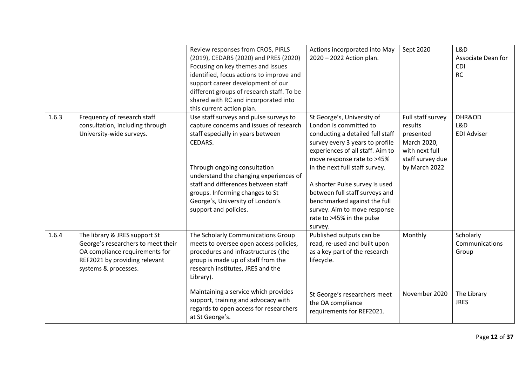|       |                                                                                                                                                                | Review responses from CROS, PIRLS<br>(2019), CEDARS (2020) and PRES (2020)<br>Focusing on key themes and issues<br>identified, focus actions to improve and<br>support career development of our<br>different groups of research staff. To be<br>shared with RC and incorporated into<br>this current action plan.                                 | Actions incorporated into May<br>2020 - 2022 Action plan.                                                                                                                                                                                                                                                                                                                                                   | Sept 2020                                                                                                       | L&D<br>Associate Dean for<br><b>CDI</b><br><b>RC</b> |
|-------|----------------------------------------------------------------------------------------------------------------------------------------------------------------|----------------------------------------------------------------------------------------------------------------------------------------------------------------------------------------------------------------------------------------------------------------------------------------------------------------------------------------------------|-------------------------------------------------------------------------------------------------------------------------------------------------------------------------------------------------------------------------------------------------------------------------------------------------------------------------------------------------------------------------------------------------------------|-----------------------------------------------------------------------------------------------------------------|------------------------------------------------------|
| 1.6.3 | Frequency of research staff<br>consultation, including through<br>University-wide surveys.                                                                     | Use staff surveys and pulse surveys to<br>capture concerns and issues of research<br>staff especially in years between<br>CEDARS.<br>Through ongoing consultation<br>understand the changing experiences of<br>staff and differences between staff<br>groups. Informing changes to St<br>George's, University of London's<br>support and policies. | St George's, University of<br>London is committed to<br>conducting a detailed full staff<br>survey every 3 years to profile<br>experiences of all staff. Aim to<br>move response rate to >45%<br>in the next full staff survey.<br>A shorter Pulse survey is used<br>between full staff surveys and<br>benchmarked against the full<br>survey. Aim to move response<br>rate to >45% in the pulse<br>survey. | Full staff survey<br>results<br>presented<br>March 2020,<br>with next full<br>staff survey due<br>by March 2022 | DHR&OD<br>L&D<br><b>EDI Adviser</b>                  |
| 1.6.4 | The library & JRES support St<br>George's researchers to meet their<br>OA compliance requirements for<br>REF2021 by providing relevant<br>systems & processes. | The Scholarly Communications Group<br>meets to oversee open access policies,<br>procedures and infrastructures (the<br>group is made up of staff from the<br>research institutes, JRES and the<br>Library).                                                                                                                                        | Published outputs can be<br>read, re-used and built upon<br>as a key part of the research<br>lifecycle.                                                                                                                                                                                                                                                                                                     | Monthly                                                                                                         | Scholarly<br>Communications<br>Group                 |
|       |                                                                                                                                                                | Maintaining a service which provides<br>support, training and advocacy with<br>regards to open access for researchers<br>at St George's.                                                                                                                                                                                                           | St George's researchers meet<br>the OA compliance<br>requirements for REF2021.                                                                                                                                                                                                                                                                                                                              | November 2020                                                                                                   | The Library<br><b>JRES</b>                           |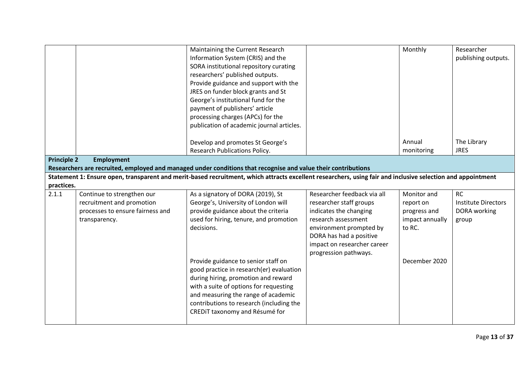|                    |                                  | Maintaining the Current Research                                                                                                                            |                             | Monthly         | Researcher                 |
|--------------------|----------------------------------|-------------------------------------------------------------------------------------------------------------------------------------------------------------|-----------------------------|-----------------|----------------------------|
|                    |                                  | Information System (CRIS) and the                                                                                                                           |                             |                 | publishing outputs.        |
|                    |                                  | SORA institutional repository curating                                                                                                                      |                             |                 |                            |
|                    |                                  | researchers' published outputs.                                                                                                                             |                             |                 |                            |
|                    |                                  | Provide guidance and support with the                                                                                                                       |                             |                 |                            |
|                    |                                  | JRES on funder block grants and St                                                                                                                          |                             |                 |                            |
|                    |                                  | George's institutional fund for the                                                                                                                         |                             |                 |                            |
|                    |                                  | payment of publishers' article                                                                                                                              |                             |                 |                            |
|                    |                                  | processing charges (APCs) for the                                                                                                                           |                             |                 |                            |
|                    |                                  | publication of academic journal articles.                                                                                                                   |                             |                 |                            |
|                    |                                  |                                                                                                                                                             |                             |                 |                            |
|                    |                                  | Develop and promotes St George's                                                                                                                            |                             | Annual          | The Library                |
|                    |                                  | Research Publications Policy.                                                                                                                               |                             | monitoring      | <b>JRES</b>                |
| <b>Principle 2</b> | <b>Employment</b>                |                                                                                                                                                             |                             |                 |                            |
|                    |                                  | Researchers are recruited, employed and managed under conditions that recognise and value their contributions                                               |                             |                 |                            |
|                    |                                  | Statement 1: Ensure open, transparent and merit-based recruitment, which attracts excellent researchers, using fair and inclusive selection and appointment |                             |                 |                            |
| practices.         |                                  |                                                                                                                                                             |                             |                 |                            |
| 2.1.1              | Continue to strengthen our       | As a signatory of DORA (2019), St                                                                                                                           | Researcher feedback via all | Monitor and     | <b>RC</b>                  |
|                    | recruitment and promotion        | George's, University of London will                                                                                                                         | researcher staff groups     | report on       | <b>Institute Directors</b> |
|                    | processes to ensure fairness and | provide guidance about the criteria                                                                                                                         | indicates the changing      | progress and    | DORA working               |
|                    | transparency.                    | used for hiring, tenure, and promotion                                                                                                                      | research assessment         | impact annually | group                      |
|                    |                                  | decisions.                                                                                                                                                  | environment prompted by     | to RC.          |                            |
|                    |                                  |                                                                                                                                                             | DORA has had a positive     |                 |                            |
|                    |                                  |                                                                                                                                                             | impact on researcher career |                 |                            |
|                    |                                  |                                                                                                                                                             | progression pathways.       |                 |                            |
|                    |                                  | Provide guidance to senior staff on                                                                                                                         |                             | December 2020   |                            |
|                    |                                  | good practice in research(er) evaluation                                                                                                                    |                             |                 |                            |
|                    |                                  | during hiring, promotion and reward                                                                                                                         |                             |                 |                            |
|                    |                                  |                                                                                                                                                             |                             |                 |                            |
|                    |                                  |                                                                                                                                                             |                             |                 |                            |
|                    |                                  | with a suite of options for requesting                                                                                                                      |                             |                 |                            |
|                    |                                  | and measuring the range of academic                                                                                                                         |                             |                 |                            |
|                    |                                  | contributions to research (including the                                                                                                                    |                             |                 |                            |
|                    |                                  | CREDIT taxonomy and Résumé for                                                                                                                              |                             |                 |                            |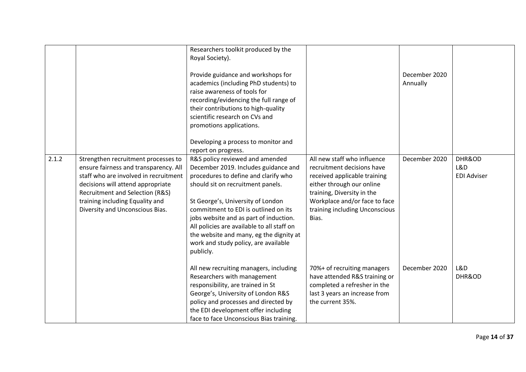|       |                                                                                                                                                                                                                                                                     | Researchers toolkit produced by the<br>Royal Society).<br>Provide guidance and workshops for<br>academics (including PhD students) to<br>raise awareness of tools for<br>recording/evidencing the full range of<br>their contributions to high-quality<br>scientific research on CVs and<br>promotions applications.<br>Developing a process to monitor and<br>report on progress.                                        |                                                                                                                                                                                                                                  | December 2020<br>Annually |                                     |
|-------|---------------------------------------------------------------------------------------------------------------------------------------------------------------------------------------------------------------------------------------------------------------------|---------------------------------------------------------------------------------------------------------------------------------------------------------------------------------------------------------------------------------------------------------------------------------------------------------------------------------------------------------------------------------------------------------------------------|----------------------------------------------------------------------------------------------------------------------------------------------------------------------------------------------------------------------------------|---------------------------|-------------------------------------|
| 2.1.2 | Strengthen recruitment processes to<br>ensure fairness and transparency. All<br>staff who are involved in recruitment<br>decisions will attend appropriate<br>Recruitment and Selection (R&S)<br>training including Equality and<br>Diversity and Unconscious Bias. | R&S policy reviewed and amended<br>December 2019. Includes guidance and<br>procedures to define and clarify who<br>should sit on recruitment panels.<br>St George's, University of London<br>commitment to EDI is outlined on its<br>jobs website and as part of induction.<br>All policies are available to all staff on<br>the website and many, eg the dignity at<br>work and study policy, are available<br>publicly. | All new staff who influence<br>recruitment decisions have<br>received applicable training<br>either through our online<br>training, Diversity in the<br>Workplace and/or face to face<br>training including Unconscious<br>Bias. | December 2020             | DHR&OD<br>L&D<br><b>EDI Adviser</b> |
|       |                                                                                                                                                                                                                                                                     | All new recruiting managers, including<br>Researchers with management<br>responsibility, are trained in St<br>George's, University of London R&S<br>policy and processes and directed by<br>the EDI development offer including<br>face to face Unconscious Bias training.                                                                                                                                                | 70%+ of recruiting managers<br>have attended R&S training or<br>completed a refresher in the<br>last 3 years an increase from<br>the current 35%.                                                                                | December 2020             | L&D<br>DHR&OD                       |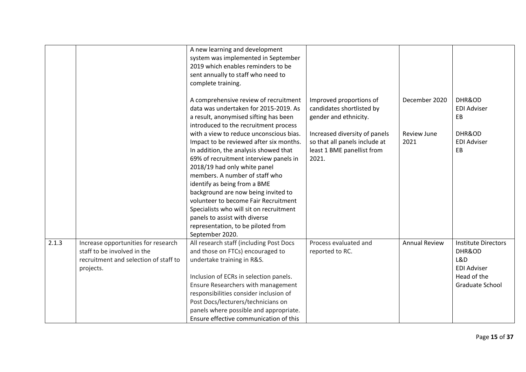|       |                                                                                                                          | A new learning and development<br>system was implemented in September<br>2019 which enables reminders to be<br>sent annually to staff who need to<br>complete training.                                                                                                                                                                                                                                                                                                                     |                                                                                                       |                            |                                                                                                     |
|-------|--------------------------------------------------------------------------------------------------------------------------|---------------------------------------------------------------------------------------------------------------------------------------------------------------------------------------------------------------------------------------------------------------------------------------------------------------------------------------------------------------------------------------------------------------------------------------------------------------------------------------------|-------------------------------------------------------------------------------------------------------|----------------------------|-----------------------------------------------------------------------------------------------------|
|       |                                                                                                                          | A comprehensive review of recruitment<br>data was undertaken for 2015-2019. As<br>a result, anonymised sifting has been<br>introduced to the recruitment process                                                                                                                                                                                                                                                                                                                            | Improved proportions of<br>candidates shortlisted by<br>gender and ethnicity.                         | December 2020              | DHR&OD<br><b>EDI Adviser</b><br>EB                                                                  |
|       |                                                                                                                          | with a view to reduce unconscious bias.<br>Impact to be reviewed after six months.<br>In addition, the analysis showed that<br>69% of recruitment interview panels in<br>2018/19 had only white panel<br>members. A number of staff who<br>identify as being from a BME<br>background are now being invited to<br>volunteer to become Fair Recruitment<br>Specialists who will sit on recruitment<br>panels to assist with diverse<br>representation, to be piloted from<br>September 2020. | Increased diversity of panels<br>so that all panels include at<br>least 1 BME panellist from<br>2021. | <b>Review June</b><br>2021 | DHR&OD<br><b>EDI Adviser</b><br>EB                                                                  |
| 2.1.3 | Increase opportunities for research<br>staff to be involved in the<br>recruitment and selection of staff to<br>projects. | All research staff (including Post Docs<br>and those on FTCs) encouraged to<br>undertake training in R&S.<br>Inclusion of ECRs in selection panels.<br>Ensure Researchers with management<br>responsibilities consider inclusion of<br>Post Docs/lecturers/technicians on<br>panels where possible and appropriate.<br>Ensure effective communication of this                                                                                                                               | Process evaluated and<br>reported to RC.                                                              | <b>Annual Review</b>       | <b>Institute Directors</b><br>DHR&OD<br>L&D<br><b>EDI Adviser</b><br>Head of the<br>Graduate School |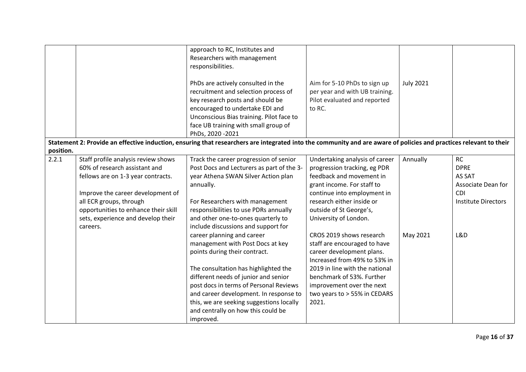|           |                                      | approach to RC, Institutes and<br>Researchers with management<br>responsibilities.<br>PhDs are actively consulted in the<br>recruitment and selection process of<br>key research posts and should be<br>encouraged to undertake EDI and<br>Unconscious Bias training. Pilot face to<br>face UB training with small group of<br>PhDs, 2020 - 2021 | Aim for 5-10 PhDs to sign up<br>per year and with UB training.<br>Pilot evaluated and reported<br>to RC. | <b>July 2021</b> |                            |
|-----------|--------------------------------------|--------------------------------------------------------------------------------------------------------------------------------------------------------------------------------------------------------------------------------------------------------------------------------------------------------------------------------------------------|----------------------------------------------------------------------------------------------------------|------------------|----------------------------|
|           |                                      | Statement 2: Provide an effective induction, ensuring that researchers are integrated into the community and are aware of policies and practices relevant to their                                                                                                                                                                               |                                                                                                          |                  |                            |
| position. |                                      |                                                                                                                                                                                                                                                                                                                                                  |                                                                                                          |                  |                            |
| 2.2.1     | Staff profile analysis review shows  | Track the career progression of senior                                                                                                                                                                                                                                                                                                           | Undertaking analysis of career                                                                           | Annually         | <b>RC</b>                  |
|           | 60% of research assistant and        | Post Docs and Lecturers as part of the 3-                                                                                                                                                                                                                                                                                                        | progression tracking, eg PDR                                                                             |                  | <b>DPRE</b>                |
|           | fellows are on 1-3 year contracts.   | year Athena SWAN Silver Action plan                                                                                                                                                                                                                                                                                                              | feedback and movement in                                                                                 |                  | AS SAT                     |
|           |                                      | annually.                                                                                                                                                                                                                                                                                                                                        | grant income. For staff to                                                                               |                  | Associate Dean for         |
|           | Improve the career development of    |                                                                                                                                                                                                                                                                                                                                                  | continue into employment in                                                                              |                  | <b>CDI</b>                 |
|           | all ECR groups, through              | For Researchers with management                                                                                                                                                                                                                                                                                                                  | research either inside or                                                                                |                  | <b>Institute Directors</b> |
|           | opportunities to enhance their skill | responsibilities to use PDRs annually                                                                                                                                                                                                                                                                                                            | outside of St George's,                                                                                  |                  |                            |
|           | sets, experience and develop their   | and other one-to-ones quarterly to                                                                                                                                                                                                                                                                                                               | University of London.                                                                                    |                  |                            |
|           | careers.                             | include discussions and support for                                                                                                                                                                                                                                                                                                              |                                                                                                          |                  |                            |
|           |                                      | career planning and career                                                                                                                                                                                                                                                                                                                       | CROS 2019 shows research                                                                                 | May 2021         | L&D                        |
|           |                                      | management with Post Docs at key                                                                                                                                                                                                                                                                                                                 | staff are encouraged to have                                                                             |                  |                            |
|           |                                      | points during their contract.                                                                                                                                                                                                                                                                                                                    | career development plans.                                                                                |                  |                            |
|           |                                      |                                                                                                                                                                                                                                                                                                                                                  | Increased from 49% to 53% in                                                                             |                  |                            |
|           |                                      | The consultation has highlighted the                                                                                                                                                                                                                                                                                                             | 2019 in line with the national                                                                           |                  |                            |
|           |                                      | different needs of junior and senior                                                                                                                                                                                                                                                                                                             | benchmark of 53%. Further                                                                                |                  |                            |
|           |                                      | post docs in terms of Personal Reviews                                                                                                                                                                                                                                                                                                           | improvement over the next                                                                                |                  |                            |
|           |                                      | and career development. In response to                                                                                                                                                                                                                                                                                                           | two years to > 55% in CEDARS                                                                             |                  |                            |
|           |                                      | this, we are seeking suggestions locally                                                                                                                                                                                                                                                                                                         | 2021.                                                                                                    |                  |                            |
|           |                                      | and centrally on how this could be                                                                                                                                                                                                                                                                                                               |                                                                                                          |                  |                            |
|           |                                      | improved.                                                                                                                                                                                                                                                                                                                                        |                                                                                                          |                  |                            |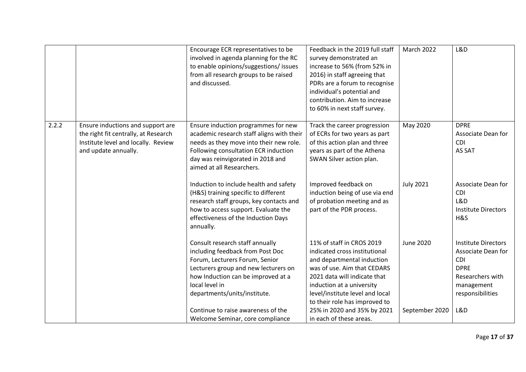|       |                                                                                                                                          | Encourage ECR representatives to be<br>involved in agenda planning for the RC<br>to enable opinions/suggestions/ issues<br>from all research groups to be raised<br>and discussed.                                                                                                                              | Feedback in the 2019 full staff<br>survey demonstrated an<br>increase to 56% (from 52% in<br>2016) in staff agreeing that<br>PDRs are a forum to recognise<br>individual's potential and<br>contribution. Aim to increase<br>to 60% in next staff survey.                                                          | March 2022                  | L&D                                                                                                                                        |
|-------|------------------------------------------------------------------------------------------------------------------------------------------|-----------------------------------------------------------------------------------------------------------------------------------------------------------------------------------------------------------------------------------------------------------------------------------------------------------------|--------------------------------------------------------------------------------------------------------------------------------------------------------------------------------------------------------------------------------------------------------------------------------------------------------------------|-----------------------------|--------------------------------------------------------------------------------------------------------------------------------------------|
| 2.2.2 | Ensure inductions and support are<br>the right fit centrally, at Research<br>Institute level and locally. Review<br>and update annually. | Ensure induction programmes for new<br>academic research staff aligns with their<br>needs as they move into their new role.<br>Following consultation ECR induction<br>day was reinvigorated in 2018 and<br>aimed at all Researchers.                                                                           | Track the career progression<br>of ECRs for two years as part<br>of this action plan and three<br>years as part of the Athena<br>SWAN Silver action plan.                                                                                                                                                          | May 2020                    | <b>DPRE</b><br>Associate Dean for<br><b>CDI</b><br>AS SAT                                                                                  |
|       |                                                                                                                                          | Induction to include health and safety<br>(H&S) training specific to different<br>research staff groups, key contacts and<br>how to access support. Evaluate the<br>effectiveness of the Induction Days<br>annually.                                                                                            | Improved feedback on<br>induction being of use via end<br>of probation meeting and as<br>part of the PDR process.                                                                                                                                                                                                  | <b>July 2021</b>            | Associate Dean for<br>CDI<br>L&D<br><b>Institute Directors</b><br>H&S                                                                      |
|       |                                                                                                                                          | Consult research staff annually<br>including feedback from Post Doc<br>Forum, Lecturers Forum, Senior<br>Lecturers group and new lecturers on<br>how Induction can be improved at a<br>local level in<br>departments/units/institute.<br>Continue to raise awareness of the<br>Welcome Seminar, core compliance | 11% of staff in CROS 2019<br>indicated cross institutional<br>and departmental induction<br>was of use. Aim that CEDARS<br>2021 data will indicate that<br>induction at a university<br>level/institute level and local<br>to their role has improved to<br>25% in 2020 and 35% by 2021<br>in each of these areas. | June 2020<br>September 2020 | <b>Institute Directors</b><br>Associate Dean for<br><b>CDI</b><br><b>DPRE</b><br>Researchers with<br>management<br>responsibilities<br>L&D |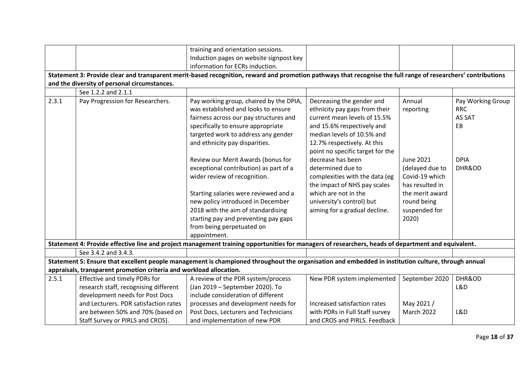|       |                                                                     | training and orientation sessions.                                                                                                                            |                                  |                 |                   |
|-------|---------------------------------------------------------------------|---------------------------------------------------------------------------------------------------------------------------------------------------------------|----------------------------------|-----------------|-------------------|
|       |                                                                     | Induction pages on website signpost key                                                                                                                       |                                  |                 |                   |
|       |                                                                     | information for ECRs induction.                                                                                                                               |                                  |                 |                   |
|       |                                                                     | Statement 3: Provide clear and transparent merit-based recognition, reward and promotion pathways that recognise the full range of researchers' contributions |                                  |                 |                   |
|       | and the diversity of personal circumstances.                        |                                                                                                                                                               |                                  |                 |                   |
|       | See 1.2.2 and 2.1.1                                                 |                                                                                                                                                               |                                  |                 |                   |
| 2.3.1 | Pay Progression for Researchers.                                    | Pay working group, chaired by the DPIA,                                                                                                                       | Decreasing the gender and        | Annual          | Pay Working Group |
|       |                                                                     | was established and looks to ensure                                                                                                                           | ethnicity pay gaps from their    | reporting       | <b>RRC</b>        |
|       |                                                                     | fairness across our pay structures and                                                                                                                        | current mean levels of 15.5%     |                 | AS SAT            |
|       |                                                                     | specifically to ensure appropriate                                                                                                                            | and 15.6% respectively and       |                 | EB                |
|       |                                                                     | targeted work to address any gender                                                                                                                           | median levels of 10.5% and       |                 |                   |
|       |                                                                     | and ethnicity pay disparities.                                                                                                                                | 12.7% respectively. At this      |                 |                   |
|       |                                                                     |                                                                                                                                                               | point no specific target for the |                 |                   |
|       |                                                                     | Review our Merit Awards (bonus for                                                                                                                            | decrease has been                | June 2021       | <b>DPIA</b>       |
|       |                                                                     | exceptional contribution) as part of a                                                                                                                        | determined due to                | (delayed due to | DHR&OD            |
|       |                                                                     | wider review of recognition.                                                                                                                                  | complexities with the data (eg   | Covid-19 which  |                   |
|       |                                                                     |                                                                                                                                                               | the impact of NHS pay scales     | has resulted in |                   |
|       |                                                                     | Starting salaries were reviewed and a                                                                                                                         | which are not in the             | the merit award |                   |
|       |                                                                     | new policy introduced in December                                                                                                                             | university's control) but        | round being     |                   |
|       |                                                                     | 2018 with the aim of standardising                                                                                                                            | aiming for a gradual decline.    | suspended for   |                   |
|       |                                                                     | starting pay and preventing pay gaps                                                                                                                          |                                  | 2020)           |                   |
|       |                                                                     | from being perpetuated on                                                                                                                                     |                                  |                 |                   |
|       |                                                                     | appointment.                                                                                                                                                  |                                  |                 |                   |
|       |                                                                     | Statement 4: Provide effective line and project management training opportunities for managers of researchers, heads of department and equivalent.            |                                  |                 |                   |
|       | See 3.4.2 and 3.4.3.                                                |                                                                                                                                                               |                                  |                 |                   |
|       |                                                                     | Statement 5: Ensure that excellent people management is championed throughout the organisation and embedded in institution culture, through annual            |                                  |                 |                   |
|       | appraisals, transparent promotion criteria and workload allocation. |                                                                                                                                                               |                                  |                 |                   |
| 2.5.1 | Effective and timely PDRs for                                       | A review of the PDR system/process                                                                                                                            | New PDR system implemented       | September 2020  | DHR&OD            |
|       | research staff, recognising different                               | (Jan 2019 - September 2020). To                                                                                                                               |                                  |                 | L&D               |
|       | development needs for Post Docs                                     | include consideration of different                                                                                                                            |                                  |                 |                   |
|       | and Lecturers. PDR satisfaction rates                               | processes and development needs for                                                                                                                           | Increased satisfaction rates     | May 2021 /      |                   |
|       | are between 50% and 70% (based on                                   | Post Docs, Lecturers and Technicians                                                                                                                          | with PDRs in Full Staff survey   | March 2022      | L&D               |
|       | Staff Survey or PIRLS and CROS).                                    | and implementation of new PDR                                                                                                                                 | and CROS and PIRLS. Feedback     |                 |                   |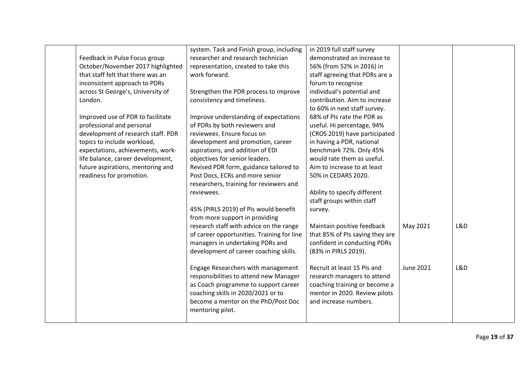|                                    | system. Task and Finish group, including   | in 2019 full staff survey       |           |     |
|------------------------------------|--------------------------------------------|---------------------------------|-----------|-----|
| Feedback in Pulse Focus group      | researcher and research technician         | demonstrated an increase to     |           |     |
| October/November 2017 highlighted  | representation, created to take this       | 56% (from 52% in 2016) in       |           |     |
| that staff felt that there was an  | work forward.                              | staff agreeing that PDRs are a  |           |     |
| inconsistent approach to PDRs      |                                            | forum to recognise              |           |     |
| across St George's, University of  | Strengthen the PDR process to improve      | individual's potential and      |           |     |
| London.                            | consistency and timeliness.                | contribution. Aim to increase   |           |     |
|                                    |                                            | to 60% in next staff survey.    |           |     |
| Improved use of PDR to facilitate  | Improve understanding of expectations      | 68% of PIs rate the PDR as      |           |     |
| professional and personal          | of PDRs by both reviewers and              | useful. Hi percentage, 94%      |           |     |
| development of research staff. PDR | reviewees. Ensure focus on                 | (CROS 2019) have participated   |           |     |
| topics to include workload,        | development and promotion, career          | in having a PDR, national       |           |     |
| expectations, achievements, work-  | aspirations, and addition of EDI           | benchmark 72%. Only 45%         |           |     |
| life balance, career development,  | objectives for senior leaders.             | would rate them as useful.      |           |     |
| future aspirations, mentoring and  | Revised PDR form, guidance tailored to     | Aim to increase to at least     |           |     |
| readiness for promotion.           | Post Docs, ECRs and more senior            | 50% in CEDARS 2020.             |           |     |
|                                    | researchers, training for reviewers and    |                                 |           |     |
|                                    | reviewees.                                 | Ability to specify different    |           |     |
|                                    |                                            | staff groups within staff       |           |     |
|                                    | 45% (PIRLS 2019) of PIs would benefit      | survey.                         |           |     |
|                                    | from more support in providing             |                                 |           |     |
|                                    | research staff with advice on the range    | Maintain positive feedback      | May 2021  | L&D |
|                                    | of career opportunities. Training for line | that 85% of PIs saying they are |           |     |
|                                    | managers in undertaking PDRs and           | confident in conducting PDRs    |           |     |
|                                    | development of career coaching skills.     | (83% in PIRLS 2019).            |           |     |
|                                    |                                            |                                 |           |     |
|                                    | Engage Researchers with management         | Recruit at least 15 Pls and     | June 2021 | L&D |
|                                    | responsibilities to attend new Manager     | research managers to attend     |           |     |
|                                    | as Coach programme to support career       | coaching training or become a   |           |     |
|                                    | coaching skills in 2020/2021 or to         | mentor in 2020. Review pilots   |           |     |
|                                    | become a mentor on the PhD/Post Doc        | and increase numbers.           |           |     |
|                                    | mentoring pilot.                           |                                 |           |     |
|                                    |                                            |                                 |           |     |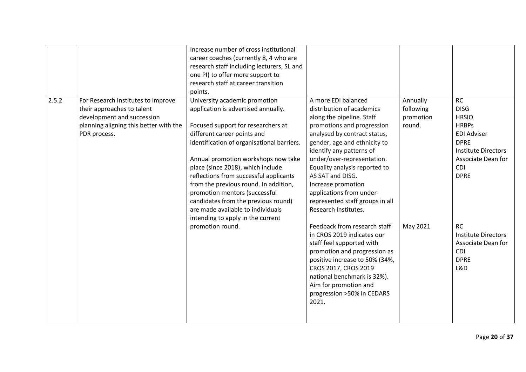|       |                                                                                                                                                          | Increase number of cross institutional<br>career coaches (currently 8, 4 who are<br>research staff including lecturers, SL and<br>one PI) to offer more support to<br>research staff at career transition<br>points.                                                                                                                                                                                                                                                                                     |                                                                                                                                                                                                                                                                                                                                                                                                         |                                              |                                                                                                                                                                         |
|-------|----------------------------------------------------------------------------------------------------------------------------------------------------------|----------------------------------------------------------------------------------------------------------------------------------------------------------------------------------------------------------------------------------------------------------------------------------------------------------------------------------------------------------------------------------------------------------------------------------------------------------------------------------------------------------|---------------------------------------------------------------------------------------------------------------------------------------------------------------------------------------------------------------------------------------------------------------------------------------------------------------------------------------------------------------------------------------------------------|----------------------------------------------|-------------------------------------------------------------------------------------------------------------------------------------------------------------------------|
| 2.5.2 | For Research Institutes to improve<br>their approaches to talent<br>development and succession<br>planning aligning this better with the<br>PDR process. | University academic promotion<br>application is advertised annually.<br>Focused support for researchers at<br>different career points and<br>identification of organisational barriers.<br>Annual promotion workshops now take<br>place (since 2018), which include<br>reflections from successful applicants<br>from the previous round. In addition,<br>promotion mentors (successful<br>candidates from the previous round)<br>are made available to individuals<br>intending to apply in the current | A more EDI balanced<br>distribution of academics<br>along the pipeline. Staff<br>promotions and progression<br>analysed by contract status,<br>gender, age and ethnicity to<br>identify any patterns of<br>under/over-representation.<br>Equality analysis reported to<br>AS SAT and DISG.<br>Increase promotion<br>applications from under-<br>represented staff groups in all<br>Research Institutes. | Annually<br>following<br>promotion<br>round. | <b>RC</b><br><b>DISG</b><br><b>HRSIO</b><br><b>HRBPs</b><br><b>EDI Adviser</b><br><b>DPRE</b><br><b>Institute Directors</b><br>Associate Dean for<br>CDI<br><b>DPRE</b> |
|       |                                                                                                                                                          | promotion round.                                                                                                                                                                                                                                                                                                                                                                                                                                                                                         | Feedback from research staff<br>in CROS 2019 indicates our<br>staff feel supported with<br>promotion and progression as<br>positive increase to 50% (34%,<br>CROS 2017, CROS 2019<br>national benchmark is 32%).<br>Aim for promotion and<br>progression >50% in CEDARS<br>2021.                                                                                                                        | May 2021                                     | <b>RC</b><br><b>Institute Directors</b><br>Associate Dean for<br>CDI<br><b>DPRE</b><br>L&D                                                                              |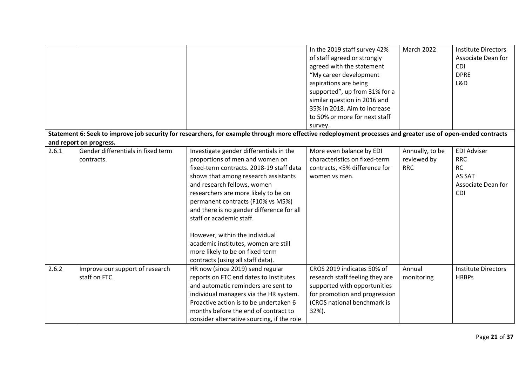|       |                                    |                                                                                                                                                              | In the 2019 staff survey 42%    | <b>March 2022</b> | <b>Institute Directors</b> |
|-------|------------------------------------|--------------------------------------------------------------------------------------------------------------------------------------------------------------|---------------------------------|-------------------|----------------------------|
|       |                                    |                                                                                                                                                              | of staff agreed or strongly     |                   | Associate Dean for         |
|       |                                    |                                                                                                                                                              |                                 |                   | <b>CDI</b>                 |
|       |                                    |                                                                                                                                                              | agreed with the statement       |                   |                            |
|       |                                    |                                                                                                                                                              | "My career development          |                   | <b>DPRE</b>                |
|       |                                    |                                                                                                                                                              | aspirations are being           |                   | L&D                        |
|       |                                    |                                                                                                                                                              | supported", up from 31% for a   |                   |                            |
|       |                                    |                                                                                                                                                              | similar question in 2016 and    |                   |                            |
|       |                                    |                                                                                                                                                              | 35% in 2018. Aim to increase    |                   |                            |
|       |                                    |                                                                                                                                                              | to 50% or more for next staff   |                   |                            |
|       |                                    |                                                                                                                                                              | survey.                         |                   |                            |
|       |                                    | Statement 6: Seek to improve job security for researchers, for example through more effective redeployment processes and greater use of open-ended contracts |                                 |                   |                            |
|       | and report on progress.            |                                                                                                                                                              |                                 |                   |                            |
| 2.6.1 | Gender differentials in fixed term | Investigate gender differentials in the                                                                                                                      | More even balance by EDI        | Annually, to be   | <b>EDI Adviser</b>         |
|       | contracts.                         | proportions of men and women on                                                                                                                              | characteristics on fixed-term   | reviewed by       | <b>RRC</b>                 |
|       |                                    | fixed-term contracts. 2018-19 staff data                                                                                                                     | contracts, <5% difference for   | <b>RRC</b>        | <b>RC</b>                  |
|       |                                    | shows that among research assistants                                                                                                                         | women vs men.                   |                   | AS SAT                     |
|       |                                    | and research fellows, women                                                                                                                                  |                                 |                   | Associate Dean for         |
|       |                                    | researchers are more likely to be on                                                                                                                         |                                 |                   | CDI                        |
|       |                                    | permanent contracts (F10% vs M5%)                                                                                                                            |                                 |                   |                            |
|       |                                    | and there is no gender difference for all                                                                                                                    |                                 |                   |                            |
|       |                                    | staff or academic staff.                                                                                                                                     |                                 |                   |                            |
|       |                                    |                                                                                                                                                              |                                 |                   |                            |
|       |                                    | However, within the individual                                                                                                                               |                                 |                   |                            |
|       |                                    | academic institutes, women are still                                                                                                                         |                                 |                   |                            |
|       |                                    | more likely to be on fixed-term                                                                                                                              |                                 |                   |                            |
|       |                                    | contracts (using all staff data).                                                                                                                            |                                 |                   |                            |
| 2.6.2 | Improve our support of research    | HR now (since 2019) send regular                                                                                                                             | CROS 2019 indicates 50% of      | Annual            | <b>Institute Directors</b> |
|       | staff on FTC.                      | reports on FTC end dates to Institutes                                                                                                                       | research staff feeling they are | monitoring        | <b>HRBPs</b>               |
|       |                                    | and automatic reminders are sent to                                                                                                                          | supported with opportunities    |                   |                            |
|       |                                    | individual managers via the HR system.                                                                                                                       | for promotion and progression   |                   |                            |
|       |                                    | Proactive action is to be undertaken 6                                                                                                                       | (CROS national benchmark is     |                   |                            |
|       |                                    | months before the end of contract to                                                                                                                         | 32%).                           |                   |                            |
|       |                                    | consider alternative sourcing, if the role                                                                                                                   |                                 |                   |                            |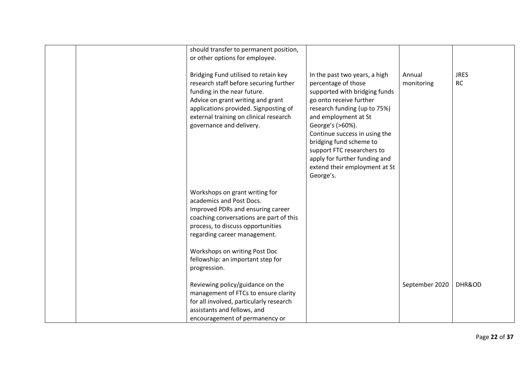|  | should transfer to permanent position,  |                               |                |             |
|--|-----------------------------------------|-------------------------------|----------------|-------------|
|  | or other options for employee.          |                               |                |             |
|  |                                         |                               |                |             |
|  | Bridging Fund utilised to retain key    | In the past two years, a high | Annual         | <b>JRES</b> |
|  | research staff before securing further  | percentage of those           | monitoring     | <b>RC</b>   |
|  |                                         |                               |                |             |
|  | funding in the near future.             | supported with bridging funds |                |             |
|  | Advice on grant writing and grant       | go onto receive further       |                |             |
|  | applications provided. Signposting of   | research funding (up to 75%)  |                |             |
|  | external training on clinical research  | and employment at St          |                |             |
|  | governance and delivery.                | George's (>60%).              |                |             |
|  |                                         | Continue success in using the |                |             |
|  |                                         | bridging fund scheme to       |                |             |
|  |                                         | support FTC researchers to    |                |             |
|  |                                         | apply for further funding and |                |             |
|  |                                         | extend their employment at St |                |             |
|  |                                         | George's.                     |                |             |
|  |                                         |                               |                |             |
|  | Workshops on grant writing for          |                               |                |             |
|  | academics and Post Docs.                |                               |                |             |
|  |                                         |                               |                |             |
|  | Improved PDRs and ensuring career       |                               |                |             |
|  | coaching conversations are part of this |                               |                |             |
|  | process, to discuss opportunities       |                               |                |             |
|  | regarding career management.            |                               |                |             |
|  |                                         |                               |                |             |
|  | Workshops on writing Post Doc           |                               |                |             |
|  | fellowship: an important step for       |                               |                |             |
|  | progression.                            |                               |                |             |
|  |                                         |                               |                |             |
|  | Reviewing policy/guidance on the        |                               | September 2020 | DHR&OD      |
|  | management of FTCs to ensure clarity    |                               |                |             |
|  | for all involved, particularly research |                               |                |             |
|  | assistants and fellows, and             |                               |                |             |
|  |                                         |                               |                |             |
|  | encouragement of permanency or          |                               |                |             |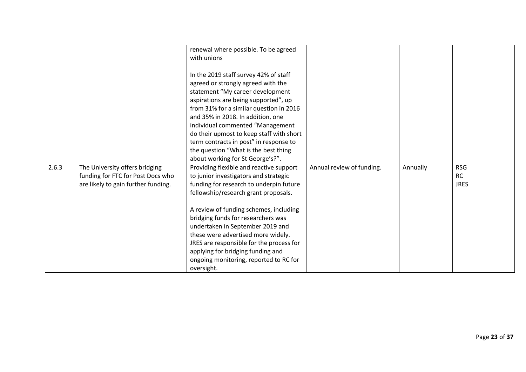|       |                                     | renewal where possible. To be agreed     |                           |          |             |
|-------|-------------------------------------|------------------------------------------|---------------------------|----------|-------------|
|       |                                     | with unions                              |                           |          |             |
|       |                                     |                                          |                           |          |             |
|       |                                     | In the 2019 staff survey 42% of staff    |                           |          |             |
|       |                                     | agreed or strongly agreed with the       |                           |          |             |
|       |                                     | statement "My career development         |                           |          |             |
|       |                                     | aspirations are being supported", up     |                           |          |             |
|       |                                     | from 31% for a similar question in 2016  |                           |          |             |
|       |                                     | and 35% in 2018. In addition, one        |                           |          |             |
|       |                                     | individual commented "Management         |                           |          |             |
|       |                                     | do their upmost to keep staff with short |                           |          |             |
|       |                                     | term contracts in post" in response to   |                           |          |             |
|       |                                     | the question "What is the best thing     |                           |          |             |
|       |                                     | about working for St George's?".         |                           |          |             |
| 2.6.3 | The University offers bridging      | Providing flexible and reactive support  | Annual review of funding. | Annually | <b>RSG</b>  |
|       | funding for FTC for Post Docs who   | to junior investigators and strategic    |                           |          | <b>RC</b>   |
|       | are likely to gain further funding. | funding for research to underpin future  |                           |          | <b>JRES</b> |
|       |                                     | fellowship/research grant proposals.     |                           |          |             |
|       |                                     |                                          |                           |          |             |
|       |                                     | A review of funding schemes, including   |                           |          |             |
|       |                                     | bridging funds for researchers was       |                           |          |             |
|       |                                     | undertaken in September 2019 and         |                           |          |             |
|       |                                     | these were advertised more widely.       |                           |          |             |
|       |                                     | JRES are responsible for the process for |                           |          |             |
|       |                                     | applying for bridging funding and        |                           |          |             |
|       |                                     | ongoing monitoring, reported to RC for   |                           |          |             |
|       |                                     | oversight.                               |                           |          |             |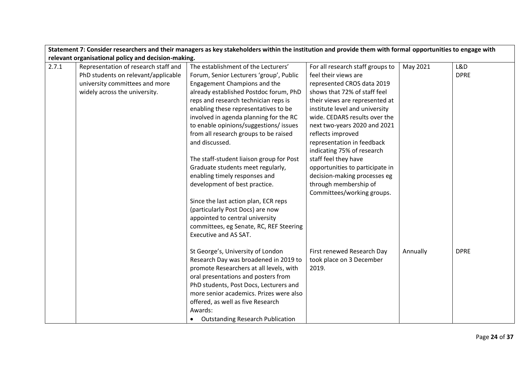|       | Statement 7: Consider researchers and their managers as key stakeholders within the institution and provide them with formal opportunities to engage with |                                          |                                  |          |             |  |  |  |
|-------|-----------------------------------------------------------------------------------------------------------------------------------------------------------|------------------------------------------|----------------------------------|----------|-------------|--|--|--|
|       | relevant organisational policy and decision-making.                                                                                                       |                                          |                                  |          |             |  |  |  |
| 2.7.1 | Representation of research staff and                                                                                                                      | The establishment of the Lecturers'      | For all research staff groups to | May 2021 | L&D         |  |  |  |
|       | PhD students on relevant/applicable                                                                                                                       | Forum, Senior Lecturers 'group', Public  | feel their views are             |          | <b>DPRE</b> |  |  |  |
|       | university committees and more                                                                                                                            | Engagement Champions and the             | represented CROS data 2019       |          |             |  |  |  |
|       | widely across the university.                                                                                                                             | already established Postdoc forum, PhD   | shows that 72% of staff feel     |          |             |  |  |  |
|       |                                                                                                                                                           | reps and research technician reps is     | their views are represented at   |          |             |  |  |  |
|       |                                                                                                                                                           | enabling these representatives to be     | institute level and university   |          |             |  |  |  |
|       |                                                                                                                                                           | involved in agenda planning for the RC   | wide. CEDARS results over the    |          |             |  |  |  |
|       |                                                                                                                                                           | to enable opinions/suggestions/issues    | next two-years 2020 and 2021     |          |             |  |  |  |
|       |                                                                                                                                                           | from all research groups to be raised    | reflects improved                |          |             |  |  |  |
|       |                                                                                                                                                           | and discussed.                           | representation in feedback       |          |             |  |  |  |
|       |                                                                                                                                                           |                                          | indicating 75% of research       |          |             |  |  |  |
|       |                                                                                                                                                           | The staff-student liaison group for Post | staff feel they have             |          |             |  |  |  |
|       |                                                                                                                                                           | Graduate students meet regularly,        | opportunities to participate in  |          |             |  |  |  |
|       |                                                                                                                                                           | enabling timely responses and            | decision-making processes eg     |          |             |  |  |  |
|       |                                                                                                                                                           | development of best practice.            | through membership of            |          |             |  |  |  |
|       |                                                                                                                                                           |                                          | Committees/working groups.       |          |             |  |  |  |
|       |                                                                                                                                                           | Since the last action plan, ECR reps     |                                  |          |             |  |  |  |
|       |                                                                                                                                                           | (particularly Post Docs) are now         |                                  |          |             |  |  |  |
|       |                                                                                                                                                           | appointed to central university          |                                  |          |             |  |  |  |
|       |                                                                                                                                                           | committees, eg Senate, RC, REF Steering  |                                  |          |             |  |  |  |
|       |                                                                                                                                                           | <b>Executive and AS SAT.</b>             |                                  |          |             |  |  |  |
|       |                                                                                                                                                           |                                          |                                  |          |             |  |  |  |
|       |                                                                                                                                                           | St George's, University of London        | First renewed Research Day       | Annually | <b>DPRE</b> |  |  |  |
|       |                                                                                                                                                           | Research Day was broadened in 2019 to    | took place on 3 December         |          |             |  |  |  |
|       |                                                                                                                                                           | promote Researchers at all levels, with  | 2019.                            |          |             |  |  |  |
|       |                                                                                                                                                           | oral presentations and posters from      |                                  |          |             |  |  |  |
|       |                                                                                                                                                           | PhD students, Post Docs, Lecturers and   |                                  |          |             |  |  |  |
|       |                                                                                                                                                           | more senior academics. Prizes were also  |                                  |          |             |  |  |  |
|       |                                                                                                                                                           | offered, as well as five Research        |                                  |          |             |  |  |  |
|       |                                                                                                                                                           | Awards:                                  |                                  |          |             |  |  |  |
|       |                                                                                                                                                           | <b>Outstanding Research Publication</b>  |                                  |          |             |  |  |  |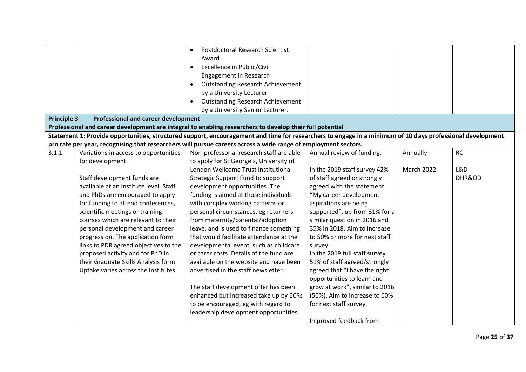|                    |                                            | <b>Postdoctoral Research Scientist</b><br>$\bullet$                                                                                                       |                                |            |           |
|--------------------|--------------------------------------------|-----------------------------------------------------------------------------------------------------------------------------------------------------------|--------------------------------|------------|-----------|
|                    |                                            | Award                                                                                                                                                     |                                |            |           |
|                    |                                            | Excellence in Public/Civil<br>$\bullet$                                                                                                                   |                                |            |           |
|                    |                                            | Engagement in Research                                                                                                                                    |                                |            |           |
|                    |                                            | <b>Outstanding Research Achievement</b>                                                                                                                   |                                |            |           |
|                    |                                            | by a University Lecturer                                                                                                                                  |                                |            |           |
|                    |                                            | <b>Outstanding Research Achievement</b><br>$\bullet$                                                                                                      |                                |            |           |
|                    |                                            | by a University Senior Lecturer.                                                                                                                          |                                |            |           |
| <b>Principle 3</b> | <b>Professional and career development</b> |                                                                                                                                                           |                                |            |           |
|                    |                                            | Professional and career development are integral to enabling researchers to develop their full potential                                                  |                                |            |           |
|                    |                                            | Statement 1: Provide opportunities, structured support, encouragement and time for researchers to engage in a minimum of 10 days professional development |                                |            |           |
|                    |                                            | pro rate per year, recognising that researchers will pursue careers across a wide range of employment sectors.                                            |                                |            |           |
| 3.1.1              | Variations in access to opportunities      | Non-professorial research staff are able                                                                                                                  | Annual review of funding.      | Annually   | <b>RC</b> |
|                    | for development.                           | to apply for St George's, University of                                                                                                                   |                                |            |           |
|                    |                                            | London Wellcome Trust Institutional                                                                                                                       | In the 2019 staff survey 42%   | March 2022 | L&D       |
|                    | Staff development funds are                | Strategic Support Fund to support                                                                                                                         | of staff agreed or strongly    |            | DHR&OD    |
|                    | available at an Institute level. Staff     | development opportunities. The                                                                                                                            | agreed with the statement      |            |           |
|                    | and PhDs are encouraged to apply           | funding is aimed at those individuals                                                                                                                     | "My career development         |            |           |
|                    | for funding to attend conferences,         | with complex working patterns or                                                                                                                          | aspirations are being          |            |           |
|                    | scientific meetings or training            | personal circumstances, eg returners                                                                                                                      | supported", up from 31% for a  |            |           |
|                    | courses which are relevant to their        | from maternity/parental/adoption                                                                                                                          | similar question in 2016 and   |            |           |
|                    | personal development and career            | leave, and is used to finance something                                                                                                                   | 35% in 2018. Aim to increase   |            |           |
|                    | progression. The application form          | that would facilitate attendance at the                                                                                                                   | to 50% or more for next staff  |            |           |
|                    | links to PDR agreed objectives to the      | developmental event, such as childcare                                                                                                                    | survey.                        |            |           |
|                    | proposed activity and for PhD in           | or carer costs. Details of the fund are                                                                                                                   | In the 2019 full staff survey  |            |           |
|                    | their Graduate Skills Analysis form        | available on the website and have been                                                                                                                    | 51% of staff agreed/strongly   |            |           |
|                    | Uptake varies across the Institutes.       | advertised in the staff newsletter.                                                                                                                       | agreed that "I have the right  |            |           |
|                    |                                            |                                                                                                                                                           | opportunities to learn and     |            |           |
|                    |                                            | The staff development offer has been                                                                                                                      | grow at work", similar to 2016 |            |           |
|                    |                                            | enhanced but increased take up by ECRs                                                                                                                    | (50%). Aim to increase to 60%  |            |           |
|                    |                                            | to be encouraged, eg with regard to                                                                                                                       | for next staff survey.         |            |           |
|                    |                                            | leadership development opportunities.                                                                                                                     |                                |            |           |
|                    |                                            |                                                                                                                                                           | Improved feedback from         |            |           |
|                    |                                            |                                                                                                                                                           |                                |            |           |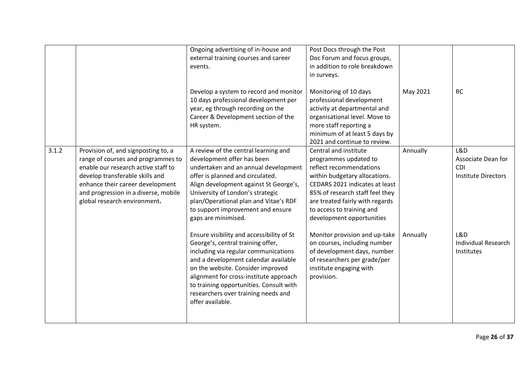|       |                                                                                                                                                                                                                                                                 | Ongoing advertising of in-house and<br>external training courses and career<br>events.<br>Develop a system to record and monitor<br>10 days professional development per<br>year, eg through recording on the<br>Career & Development section of the<br>HR system.                                                                                  | Post Docs through the Post<br>Doc Forum and focus groups,<br>in addition to role breakdown<br>in surveys.<br>Monitoring of 10 days<br>professional development<br>activity at departmental and<br>organisational level. Move to<br>more staff reporting a<br>minimum of at least 5 days by<br>2021 and continue to review. | May 2021 | <b>RC</b>                                                             |
|-------|-----------------------------------------------------------------------------------------------------------------------------------------------------------------------------------------------------------------------------------------------------------------|-----------------------------------------------------------------------------------------------------------------------------------------------------------------------------------------------------------------------------------------------------------------------------------------------------------------------------------------------------|----------------------------------------------------------------------------------------------------------------------------------------------------------------------------------------------------------------------------------------------------------------------------------------------------------------------------|----------|-----------------------------------------------------------------------|
| 3.1.2 | Provision of, and signposting to, a<br>range of courses and programmes to<br>enable our research active staff to<br>develop transferable skills and<br>enhance their career development<br>and progression in a diverse, mobile<br>global research environment. | A review of the central learning and<br>development offer has been<br>undertaken and an annual development<br>offer is planned and circulated.<br>Align development against St George's,<br>University of London's strategic<br>plan/Operational plan and Vitae's RDF<br>to support improvement and ensure<br>gaps are minimised.                   | Central and institute<br>programmes updated to<br>reflect recommendations<br>within budgetary allocations.<br>CEDARS 2021 indicates at least<br>85% of research staff feel they<br>are treated fairly with regards<br>to access to training and<br>development opportunities                                               | Annually | L&D<br>Associate Dean for<br><b>CDI</b><br><b>Institute Directors</b> |
|       |                                                                                                                                                                                                                                                                 | Ensure visibility and accessibility of St<br>George's, central training offer,<br>including via regular communications<br>and a development calendar available<br>on the website. Consider improved<br>alignment for cross-institute approach<br>to training opportunities. Consult with<br>researchers over training needs and<br>offer available. | Monitor provision and up-take<br>on courses, including number<br>of development days, number<br>of researchers per grade/per<br>institute engaging with<br>provision.                                                                                                                                                      | Annually | L&D<br><b>Individual Research</b><br>Institutes                       |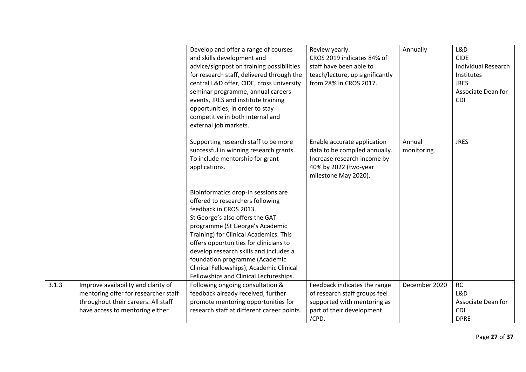|       |                                      | Develop and offer a range of courses       | Review yearly.                  | Annually      | L&D                        |
|-------|--------------------------------------|--------------------------------------------|---------------------------------|---------------|----------------------------|
|       |                                      | and skills development and                 | CROS 2019 indicates 84% of      |               | <b>CIDE</b>                |
|       |                                      | advice/signpost on training possibilities  | staff have been able to         |               | <b>Individual Research</b> |
|       |                                      | for research staff, delivered through the  | teach/lecture, up significantly |               | Institutes                 |
|       |                                      | central L&D offer, CIDE, cross university  | from 28% in CROS 2017.          |               | <b>JRES</b>                |
|       |                                      | seminar programme, annual careers          |                                 |               | Associate Dean for         |
|       |                                      | events, JRES and institute training        |                                 |               | CDI                        |
|       |                                      | opportunities, in order to stay            |                                 |               |                            |
|       |                                      | competitive in both internal and           |                                 |               |                            |
|       |                                      | external job markets.                      |                                 |               |                            |
|       |                                      | Supporting research staff to be more       | Enable accurate application     | Annual        | <b>JRES</b>                |
|       |                                      | successful in winning research grants.     | data to be compiled annually.   | monitoring    |                            |
|       |                                      | To include mentorship for grant            | Increase research income by     |               |                            |
|       |                                      | applications.                              | 40% by 2022 (two-year           |               |                            |
|       |                                      |                                            | milestone May 2020).            |               |                            |
|       |                                      |                                            |                                 |               |                            |
|       |                                      | Bioinformatics drop-in sessions are        |                                 |               |                            |
|       |                                      | offered to researchers following           |                                 |               |                            |
|       |                                      | feedback in CROS 2013.                     |                                 |               |                            |
|       |                                      | St George's also offers the GAT            |                                 |               |                            |
|       |                                      | programme (St George's Academic            |                                 |               |                            |
|       |                                      | Training) for Clinical Academics. This     |                                 |               |                            |
|       |                                      | offers opportunities for clinicians to     |                                 |               |                            |
|       |                                      | develop research skills and includes a     |                                 |               |                            |
|       |                                      | foundation programme (Academic             |                                 |               |                            |
|       |                                      | Clinical Fellowships), Academic Clinical   |                                 |               |                            |
|       |                                      | Fellowships and Clinical Lectureships.     |                                 |               |                            |
| 3.1.3 | Improve availability and clarity of  | Following ongoing consultation &           | Feedback indicates the range    | December 2020 | <b>RC</b>                  |
|       | mentoring offer for researcher staff | feedback already received, further         | of research staff groups feel   |               | L&D                        |
|       | throughout their careers. All staff  | promote mentoring opportunities for        | supported with mentoring as     |               | Associate Dean for         |
|       | have access to mentoring either      | research staff at different career points. | part of their development       |               | <b>CDI</b>                 |
|       |                                      |                                            | /CPD.                           |               | <b>DPRE</b>                |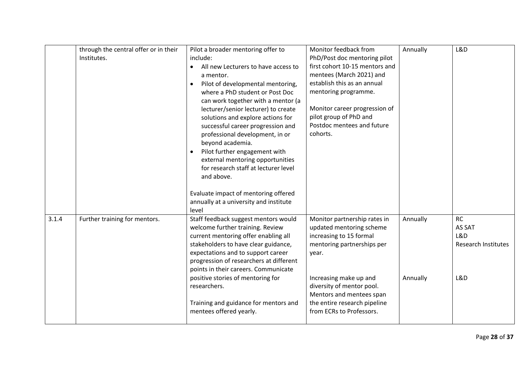|       | through the central offer or in their<br>Institutes. | Pilot a broader mentoring offer to<br>include:<br>All new Lecturers to have access to<br>$\bullet$<br>a mentor.<br>Pilot of developmental mentoring,<br>where a PhD student or Post Doc<br>can work together with a mentor (a<br>lecturer/senior lecturer) to create<br>solutions and explore actions for<br>successful career progression and<br>professional development, in or<br>beyond academia.<br>Pilot further engagement with<br>external mentoring opportunities<br>for research staff at lecturer level<br>and above.<br>Evaluate impact of mentoring offered<br>annually at a university and institute<br>level | Monitor feedback from<br>PhD/Post doc mentoring pilot<br>first cohort 10-15 mentors and<br>mentees (March 2021) and<br>establish this as an annual<br>mentoring programme.<br>Monitor career progression of<br>pilot group of PhD and<br>Postdoc mentees and future<br>cohorts. | Annually             | L&D                                                             |
|-------|------------------------------------------------------|-----------------------------------------------------------------------------------------------------------------------------------------------------------------------------------------------------------------------------------------------------------------------------------------------------------------------------------------------------------------------------------------------------------------------------------------------------------------------------------------------------------------------------------------------------------------------------------------------------------------------------|---------------------------------------------------------------------------------------------------------------------------------------------------------------------------------------------------------------------------------------------------------------------------------|----------------------|-----------------------------------------------------------------|
| 3.1.4 | Further training for mentors.                        | Staff feedback suggest mentors would<br>welcome further training. Review<br>current mentoring offer enabling all<br>stakeholders to have clear guidance,<br>expectations and to support career<br>progression of researchers at different<br>points in their careers. Communicate<br>positive stories of mentoring for<br>researchers.<br>Training and guidance for mentors and<br>mentees offered yearly.                                                                                                                                                                                                                  | Monitor partnership rates in<br>updated mentoring scheme<br>increasing to 15 formal<br>mentoring partnerships per<br>year.<br>Increasing make up and<br>diversity of mentor pool.<br>Mentors and mentees span<br>the entire research pipeline<br>from ECRs to Professors.       | Annually<br>Annually | <b>RC</b><br>AS SAT<br>L&D<br><b>Research Institutes</b><br>L&D |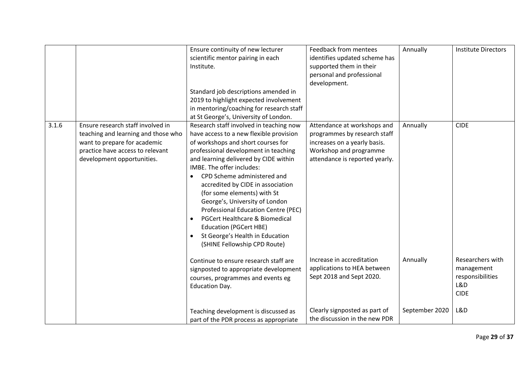|       |                                                                                                                                                                            | Ensure continuity of new lecturer<br>scientific mentor pairing in each<br>Institute.<br>Standard job descriptions amended in<br>2019 to highlight expected involvement<br>in mentoring/coaching for research staff<br>at St George's, University of London.                                                                                                                                                                                                                                                                                                           | Feedback from mentees<br>identifies updated scheme has<br>supported them in their<br>personal and professional<br>development.                          | Annually                   | <b>Institute Directors</b>                                                      |
|-------|----------------------------------------------------------------------------------------------------------------------------------------------------------------------------|-----------------------------------------------------------------------------------------------------------------------------------------------------------------------------------------------------------------------------------------------------------------------------------------------------------------------------------------------------------------------------------------------------------------------------------------------------------------------------------------------------------------------------------------------------------------------|---------------------------------------------------------------------------------------------------------------------------------------------------------|----------------------------|---------------------------------------------------------------------------------|
| 3.1.6 | Ensure research staff involved in<br>teaching and learning and those who<br>want to prepare for academic<br>practice have access to relevant<br>development opportunities. | Research staff involved in teaching now<br>have access to a new flexible provision<br>of workshops and short courses for<br>professional development in teaching<br>and learning delivered by CIDE within<br>IMBE. The offer includes:<br>CPD Scheme administered and<br>accredited by CIDE in association<br>(for some elements) with St<br>George's, University of London<br>Professional Education Centre (PEC)<br>PGCert Healthcare & Biomedical<br>$\bullet$<br><b>Education (PGCert HBE)</b><br>St George's Health in Education<br>(SHINE Fellowship CPD Route) | Attendance at workshops and<br>programmes by research staff<br>increases on a yearly basis.<br>Workshop and programme<br>attendance is reported yearly. | Annually                   | <b>CIDE</b>                                                                     |
|       |                                                                                                                                                                            | Continue to ensure research staff are<br>signposted to appropriate development<br>courses, programmes and events eg<br><b>Education Day.</b>                                                                                                                                                                                                                                                                                                                                                                                                                          | Increase in accreditation<br>applications to HEA between<br>Sept 2018 and Sept 2020.<br>Clearly signposted as part of                                   | Annually<br>September 2020 | Researchers with<br>management<br>responsibilities<br>L&D<br><b>CIDE</b><br>L&D |
|       |                                                                                                                                                                            | Teaching development is discussed as<br>part of the PDR process as appropriate                                                                                                                                                                                                                                                                                                                                                                                                                                                                                        | the discussion in the new PDR                                                                                                                           |                            |                                                                                 |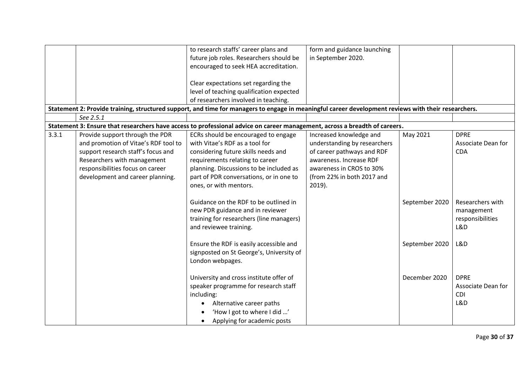|       |                                                                                                                                                                                                                      | to research staffs' career plans and<br>future job roles. Researchers should be<br>encouraged to seek HEA accreditation.                                                                                                                                        | form and guidance launching<br>in September 2020.                                                                                                                                       |                |                                                           |
|-------|----------------------------------------------------------------------------------------------------------------------------------------------------------------------------------------------------------------------|-----------------------------------------------------------------------------------------------------------------------------------------------------------------------------------------------------------------------------------------------------------------|-----------------------------------------------------------------------------------------------------------------------------------------------------------------------------------------|----------------|-----------------------------------------------------------|
|       |                                                                                                                                                                                                                      | Clear expectations set regarding the<br>level of teaching qualification expected                                                                                                                                                                                |                                                                                                                                                                                         |                |                                                           |
|       |                                                                                                                                                                                                                      | of researchers involved in teaching.                                                                                                                                                                                                                            |                                                                                                                                                                                         |                |                                                           |
|       |                                                                                                                                                                                                                      | Statement 2: Provide training, structured support, and time for managers to engage in meaningful career development reviews with their researchers.                                                                                                             |                                                                                                                                                                                         |                |                                                           |
|       | See 2.5.1                                                                                                                                                                                                            |                                                                                                                                                                                                                                                                 |                                                                                                                                                                                         |                |                                                           |
|       |                                                                                                                                                                                                                      | Statement 3: Ensure that researchers have access to professional advice on career management, across a breadth of careers.                                                                                                                                      |                                                                                                                                                                                         |                |                                                           |
| 3.3.1 | Provide support through the PDR<br>and promotion of Vitae's RDF tool to<br>support research staff's focus and<br>Researchers with management<br>responsibilities focus on career<br>development and career planning. | ECRs should be encouraged to engage<br>with Vitae's RDF as a tool for<br>considering future skills needs and<br>requirements relating to career<br>planning. Discussions to be included as<br>part of PDR conversations, or in one to<br>ones, or with mentors. | Increased knowledge and<br>understanding by researchers<br>of career pathways and RDF<br>awareness. Increase RDF<br>awareness in CROS to 30%<br>(from 22% in both 2017 and<br>$2019$ ). | May 2021       | <b>DPRE</b><br>Associate Dean for<br><b>CDA</b>           |
|       |                                                                                                                                                                                                                      | Guidance on the RDF to be outlined in<br>new PDR guidance and in reviewer<br>training for researchers (line managers)<br>and reviewee training.                                                                                                                 |                                                                                                                                                                                         | September 2020 | Researchers with<br>management<br>responsibilities<br>L&D |
|       |                                                                                                                                                                                                                      | Ensure the RDF is easily accessible and<br>signposted on St George's, University of<br>London webpages.                                                                                                                                                         |                                                                                                                                                                                         | September 2020 | L&D                                                       |
|       |                                                                                                                                                                                                                      | University and cross institute offer of<br>speaker programme for research staff<br>including:<br>Alternative career paths<br>'How I got to where I did '<br>Applying for academic posts                                                                         |                                                                                                                                                                                         | December 2020  | <b>DPRE</b><br>Associate Dean for<br><b>CDI</b><br>L&D    |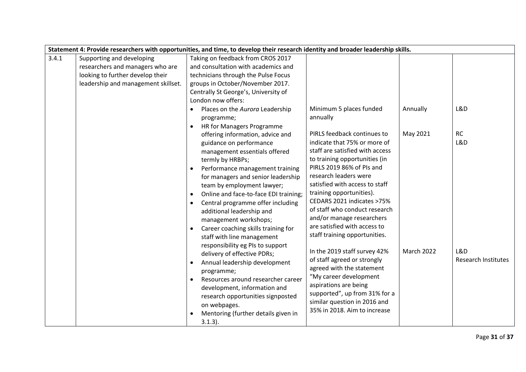| Statement 4: Provide researchers with opportunities, and time, to develop their research identity and broader leadership skills. |                                     |                                       |                                                               |                   |                            |  |
|----------------------------------------------------------------------------------------------------------------------------------|-------------------------------------|---------------------------------------|---------------------------------------------------------------|-------------------|----------------------------|--|
| 3.4.1                                                                                                                            | Supporting and developing           | Taking on feedback from CROS 2017     |                                                               |                   |                            |  |
|                                                                                                                                  | researchers and managers who are    | and consultation with academics and   |                                                               |                   |                            |  |
|                                                                                                                                  | looking to further develop their    | technicians through the Pulse Focus   |                                                               |                   |                            |  |
|                                                                                                                                  | leadership and management skillset. | groups in October/November 2017.      |                                                               |                   |                            |  |
|                                                                                                                                  |                                     | Centrally St George's, University of  |                                                               |                   |                            |  |
|                                                                                                                                  |                                     | London now offers:                    |                                                               |                   |                            |  |
|                                                                                                                                  |                                     | Places on the Aurora Leadership       | Minimum 5 places funded                                       | Annually          | L&D                        |  |
|                                                                                                                                  |                                     | programme;                            | annually                                                      |                   |                            |  |
|                                                                                                                                  |                                     | HR for Managers Programme             |                                                               |                   |                            |  |
|                                                                                                                                  |                                     | offering information, advice and      | PIRLS feedback continues to                                   | May 2021          | RC                         |  |
|                                                                                                                                  |                                     | guidance on performance               | indicate that 75% or more of                                  |                   | L&D                        |  |
|                                                                                                                                  |                                     | management essentials offered         | staff are satisfied with access                               |                   |                            |  |
|                                                                                                                                  |                                     | termly by HRBPs;                      | to training opportunities (in                                 |                   |                            |  |
|                                                                                                                                  |                                     | Performance management training       | PIRLS 2019 86% of PIs and                                     |                   |                            |  |
|                                                                                                                                  |                                     | for managers and senior leadership    | research leaders were                                         |                   |                            |  |
|                                                                                                                                  |                                     | team by employment lawyer;            | satisfied with access to staff                                |                   |                            |  |
|                                                                                                                                  |                                     | Online and face-to-face EDI training; | training opportunities).                                      |                   |                            |  |
|                                                                                                                                  |                                     | Central programme offer including     | CEDARS 2021 indicates >75%                                    |                   |                            |  |
|                                                                                                                                  |                                     | additional leadership and             | of staff who conduct research                                 |                   |                            |  |
|                                                                                                                                  |                                     | management workshops;                 | and/or manage researchers                                     |                   |                            |  |
|                                                                                                                                  |                                     | Career coaching skills training for   | are satisfied with access to                                  |                   |                            |  |
|                                                                                                                                  |                                     | staff with line management            | staff training opportunities.                                 |                   |                            |  |
|                                                                                                                                  |                                     | responsibility eg PIs to support      |                                                               |                   |                            |  |
|                                                                                                                                  |                                     | delivery of effective PDRs;           | In the 2019 staff survey 42%                                  | <b>March 2022</b> | L&D                        |  |
|                                                                                                                                  |                                     | Annual leadership development         | of staff agreed or strongly                                   |                   | <b>Research Institutes</b> |  |
|                                                                                                                                  |                                     | programme;                            | agreed with the statement                                     |                   |                            |  |
|                                                                                                                                  |                                     | Resources around researcher career    | "My career development                                        |                   |                            |  |
|                                                                                                                                  |                                     | development, information and          | aspirations are being                                         |                   |                            |  |
|                                                                                                                                  |                                     | research opportunities signposted     | supported", up from 31% for a<br>similar question in 2016 and |                   |                            |  |
|                                                                                                                                  |                                     | on webpages.                          | 35% in 2018. Aim to increase                                  |                   |                            |  |
|                                                                                                                                  |                                     | Mentoring (further details given in   |                                                               |                   |                            |  |
|                                                                                                                                  |                                     | $3.1.3$ ).                            |                                                               |                   |                            |  |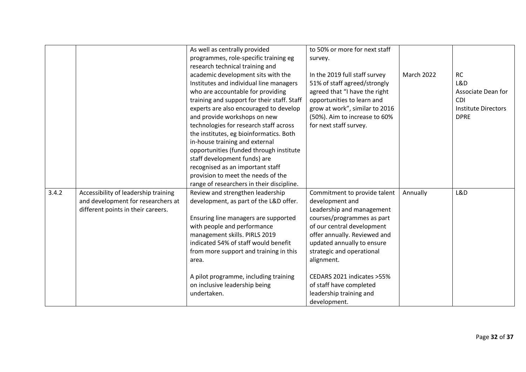| As well as centrally provided<br>to 50% or more for next staff                                                                |                            |
|-------------------------------------------------------------------------------------------------------------------------------|----------------------------|
| programmes, role-specific training eg<br>survey.                                                                              |                            |
| research technical training and                                                                                               |                            |
| academic development sits with the<br>March 2022<br>In the 2019 full staff survey                                             | <b>RC</b>                  |
| 51% of staff agreed/strongly<br>Institutes and individual line managers                                                       | L&D                        |
| who are accountable for providing<br>agreed that "I have the right                                                            | Associate Dean for         |
| training and support for their staff. Staff<br>opportunities to learn and                                                     | <b>CDI</b>                 |
| grow at work", similar to 2016<br>experts are also encouraged to develop                                                      | <b>Institute Directors</b> |
| (50%). Aim to increase to 60%<br>and provide workshops on new                                                                 | <b>DPRE</b>                |
| technologies for research staff across<br>for next staff survey.                                                              |                            |
| the institutes, eg bioinformatics. Both                                                                                       |                            |
| in-house training and external                                                                                                |                            |
| opportunities (funded through institute                                                                                       |                            |
| staff development funds) are                                                                                                  |                            |
| recognised as an important staff                                                                                              |                            |
| provision to meet the needs of the                                                                                            |                            |
| range of researchers in their discipline.                                                                                     |                            |
| 3.4.2<br>Accessibility of leadership training<br>Review and strengthen leadership<br>Commitment to provide talent<br>Annually | L&D                        |
| and development for researchers at<br>development, as part of the L&D offer.<br>development and                               |                            |
| different points in their careers.<br>Leadership and management                                                               |                            |
| Ensuring line managers are supported<br>courses/programmes as part                                                            |                            |
|                                                                                                                               |                            |
| of our central development                                                                                                    |                            |
| with people and performance                                                                                                   |                            |
| management skills. PIRLS 2019<br>offer annually. Reviewed and<br>indicated 54% of staff would benefit                         |                            |
| updated annually to ensure                                                                                                    |                            |
| strategic and operational<br>from more support and training in this<br>area.                                                  |                            |
| alignment.                                                                                                                    |                            |
| CEDARS 2021 indicates >55%                                                                                                    |                            |
| A pilot programme, including training                                                                                         |                            |
| on inclusive leadership being<br>of staff have completed<br>leadership training and<br>undertaken.                            |                            |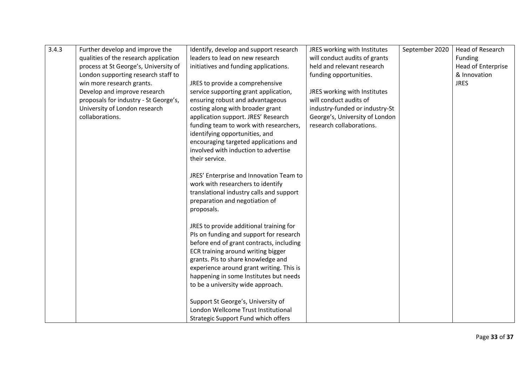| 3.4.3 | Further develop and improve the       | Identify, develop and support research   | JRES working with Institutes   | September 2020 | Head of Research   |
|-------|---------------------------------------|------------------------------------------|--------------------------------|----------------|--------------------|
|       | qualities of the research application | leaders to lead on new research          | will conduct audits of grants  |                | Funding            |
|       | process at St George's, University of | initiatives and funding applications.    | held and relevant research     |                | Head of Enterprise |
|       | London supporting research staff to   |                                          | funding opportunities.         |                | & Innovation       |
|       | win more research grants.             | JRES to provide a comprehensive          |                                |                | <b>JRES</b>        |
|       | Develop and improve research          | service supporting grant application,    | JRES working with Institutes   |                |                    |
|       | proposals for industry - St George's, | ensuring robust and advantageous         | will conduct audits of         |                |                    |
|       | University of London research         | costing along with broader grant         | industry-funded or industry-St |                |                    |
|       | collaborations.                       | application support. JRES' Research      | George's, University of London |                |                    |
|       |                                       | funding team to work with researchers,   | research collaborations.       |                |                    |
|       |                                       | identifying opportunities, and           |                                |                |                    |
|       |                                       | encouraging targeted applications and    |                                |                |                    |
|       |                                       | involved with induction to advertise     |                                |                |                    |
|       |                                       | their service.                           |                                |                |                    |
|       |                                       |                                          |                                |                |                    |
|       |                                       | JRES' Enterprise and Innovation Team to  |                                |                |                    |
|       |                                       | work with researchers to identify        |                                |                |                    |
|       |                                       | translational industry calls and support |                                |                |                    |
|       |                                       | preparation and negotiation of           |                                |                |                    |
|       |                                       | proposals.                               |                                |                |                    |
|       |                                       | JRES to provide additional training for  |                                |                |                    |
|       |                                       | PIs on funding and support for research  |                                |                |                    |
|       |                                       | before end of grant contracts, including |                                |                |                    |
|       |                                       | ECR training around writing bigger       |                                |                |                    |
|       |                                       | grants. Pls to share knowledge and       |                                |                |                    |
|       |                                       | experience around grant writing. This is |                                |                |                    |
|       |                                       | happening in some Institutes but needs   |                                |                |                    |
|       |                                       | to be a university wide approach.        |                                |                |                    |
|       |                                       |                                          |                                |                |                    |
|       |                                       | Support St George's, University of       |                                |                |                    |
|       |                                       | London Wellcome Trust Institutional      |                                |                |                    |
|       |                                       | Strategic Support Fund which offers      |                                |                |                    |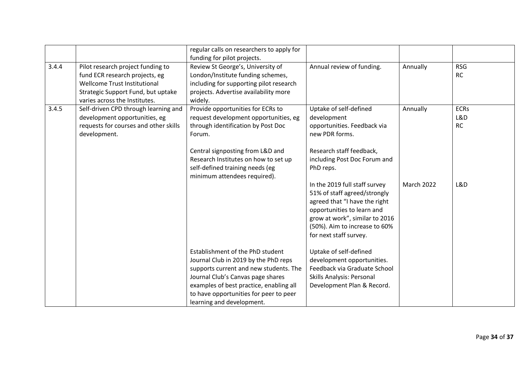|       |                                                                                                                                                                            | regular calls on researchers to apply for<br>funding for pilot projects.                                                                                                                                                                                                  |                                                                                                                                                                                                                           |                   |                                 |
|-------|----------------------------------------------------------------------------------------------------------------------------------------------------------------------------|---------------------------------------------------------------------------------------------------------------------------------------------------------------------------------------------------------------------------------------------------------------------------|---------------------------------------------------------------------------------------------------------------------------------------------------------------------------------------------------------------------------|-------------------|---------------------------------|
| 3.4.4 | Pilot research project funding to<br>fund ECR research projects, eg<br>Wellcome Trust Institutional<br>Strategic Support Fund, but uptake<br>varies across the Institutes. | Review St George's, University of<br>London/Institute funding schemes,<br>including for supporting pilot research<br>projects. Advertise availability more<br>widely.                                                                                                     | Annual review of funding.                                                                                                                                                                                                 | Annually          | <b>RSG</b><br>RC                |
| 3.4.5 | Self-driven CPD through learning and<br>development opportunities, eg<br>requests for courses and other skills<br>development.                                             | Provide opportunities for ECRs to<br>request development opportunities, eg<br>through identification by Post Doc<br>Forum.                                                                                                                                                | Uptake of self-defined<br>development<br>opportunities. Feedback via<br>new PDR forms.                                                                                                                                    | Annually          | <b>ECRs</b><br>L&D<br><b>RC</b> |
|       |                                                                                                                                                                            | Central signposting from L&D and<br>Research Institutes on how to set up<br>self-defined training needs (eg<br>minimum attendees required).                                                                                                                               | Research staff feedback,<br>including Post Doc Forum and<br>PhD reps.                                                                                                                                                     |                   |                                 |
|       |                                                                                                                                                                            |                                                                                                                                                                                                                                                                           | In the 2019 full staff survey<br>51% of staff agreed/strongly<br>agreed that "I have the right<br>opportunities to learn and<br>grow at work", similar to 2016<br>(50%). Aim to increase to 60%<br>for next staff survey. | <b>March 2022</b> | L&D                             |
|       |                                                                                                                                                                            | Establishment of the PhD student<br>Journal Club in 2019 by the PhD reps<br>supports current and new students. The<br>Journal Club's Canvas page shares<br>examples of best practice, enabling all<br>to have opportunities for peer to peer<br>learning and development. | Uptake of self-defined<br>development opportunities.<br>Feedback via Graduate School<br><b>Skills Analysis: Personal</b><br>Development Plan & Record.                                                                    |                   |                                 |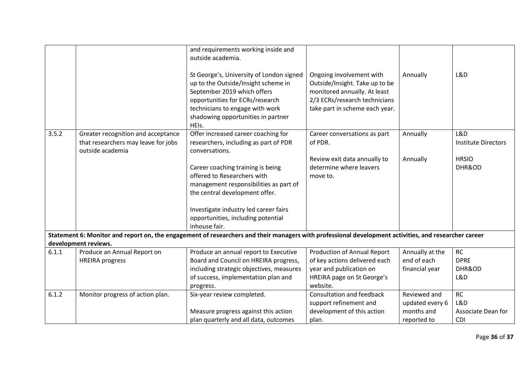|       |                                                                                               | and requirements working inside and<br>outside academia.<br>St George's, University of London signed<br>up to the Outside/Insight scheme in<br>September 2019 which offers<br>opportunities for ECRs/research<br>technicians to engage with work<br>shadowing opportunities in partner | Ongoing involvement with<br>Outside/Insight. Take up to be<br>monitored annually. At least<br>2/3 ECRs/research technicians<br>take part in scheme each year. | Annually        | L&D                               |
|-------|-----------------------------------------------------------------------------------------------|----------------------------------------------------------------------------------------------------------------------------------------------------------------------------------------------------------------------------------------------------------------------------------------|---------------------------------------------------------------------------------------------------------------------------------------------------------------|-----------------|-----------------------------------|
|       |                                                                                               | HEIs.                                                                                                                                                                                                                                                                                  |                                                                                                                                                               |                 |                                   |
| 3.5.2 | Greater recognition and acceptance<br>that researchers may leave for jobs<br>outside academia | Offer increased career coaching for<br>researchers, including as part of PDR<br>conversations.                                                                                                                                                                                         | Career conversations as part<br>of PDR.                                                                                                                       | Annually        | L&D<br><b>Institute Directors</b> |
|       |                                                                                               |                                                                                                                                                                                                                                                                                        | Review exit data annually to                                                                                                                                  | Annually        | <b>HRSIO</b>                      |
|       |                                                                                               | Career coaching training is being                                                                                                                                                                                                                                                      | determine where leavers                                                                                                                                       |                 | DHR&OD                            |
|       |                                                                                               | offered to Researchers with                                                                                                                                                                                                                                                            | move to.                                                                                                                                                      |                 |                                   |
|       |                                                                                               | management responsibilities as part of                                                                                                                                                                                                                                                 |                                                                                                                                                               |                 |                                   |
|       |                                                                                               | the central development offer.                                                                                                                                                                                                                                                         |                                                                                                                                                               |                 |                                   |
|       |                                                                                               |                                                                                                                                                                                                                                                                                        |                                                                                                                                                               |                 |                                   |
|       |                                                                                               | Investigate industry led career fairs                                                                                                                                                                                                                                                  |                                                                                                                                                               |                 |                                   |
|       |                                                                                               | opportunities, including potential                                                                                                                                                                                                                                                     |                                                                                                                                                               |                 |                                   |
|       |                                                                                               | inhouse fair.                                                                                                                                                                                                                                                                          |                                                                                                                                                               |                 |                                   |
|       |                                                                                               | Statement 6: Monitor and report on, the engagement of researchers and their managers with professional development activities, and researcher career                                                                                                                                   |                                                                                                                                                               |                 |                                   |
|       | development reviews.                                                                          |                                                                                                                                                                                                                                                                                        |                                                                                                                                                               |                 |                                   |
| 6.1.1 | Produce an Annual Report on                                                                   | Produce an annual report to Executive                                                                                                                                                                                                                                                  | <b>Production of Annual Report</b>                                                                                                                            | Annually at the | <b>RC</b>                         |
|       | <b>HREIRA</b> progress                                                                        | Board and Council on HREIRA progress,                                                                                                                                                                                                                                                  | of key actions delivered each                                                                                                                                 | end of each     | <b>DPRE</b>                       |
|       |                                                                                               | including strategic objectives, measures                                                                                                                                                                                                                                               | year and publication on                                                                                                                                       | financial year  | DHR&OD                            |
|       |                                                                                               | of success, implementation plan and                                                                                                                                                                                                                                                    | HREIRA page on St George's                                                                                                                                    |                 | L&D                               |
|       |                                                                                               | progress.                                                                                                                                                                                                                                                                              | website.                                                                                                                                                      |                 |                                   |
| 6.1.2 | Monitor progress of action plan.                                                              | Six-year review completed.                                                                                                                                                                                                                                                             | Consultation and feedback                                                                                                                                     | Reviewed and    | <b>RC</b>                         |
|       |                                                                                               |                                                                                                                                                                                                                                                                                        | support refinement and                                                                                                                                        | updated every 6 | L&D                               |
|       |                                                                                               | Measure progress against this action                                                                                                                                                                                                                                                   | development of this action                                                                                                                                    | months and      | Associate Dean for                |
|       |                                                                                               | plan quarterly and all data, outcomes                                                                                                                                                                                                                                                  | plan.                                                                                                                                                         | reported to     | <b>CDI</b>                        |